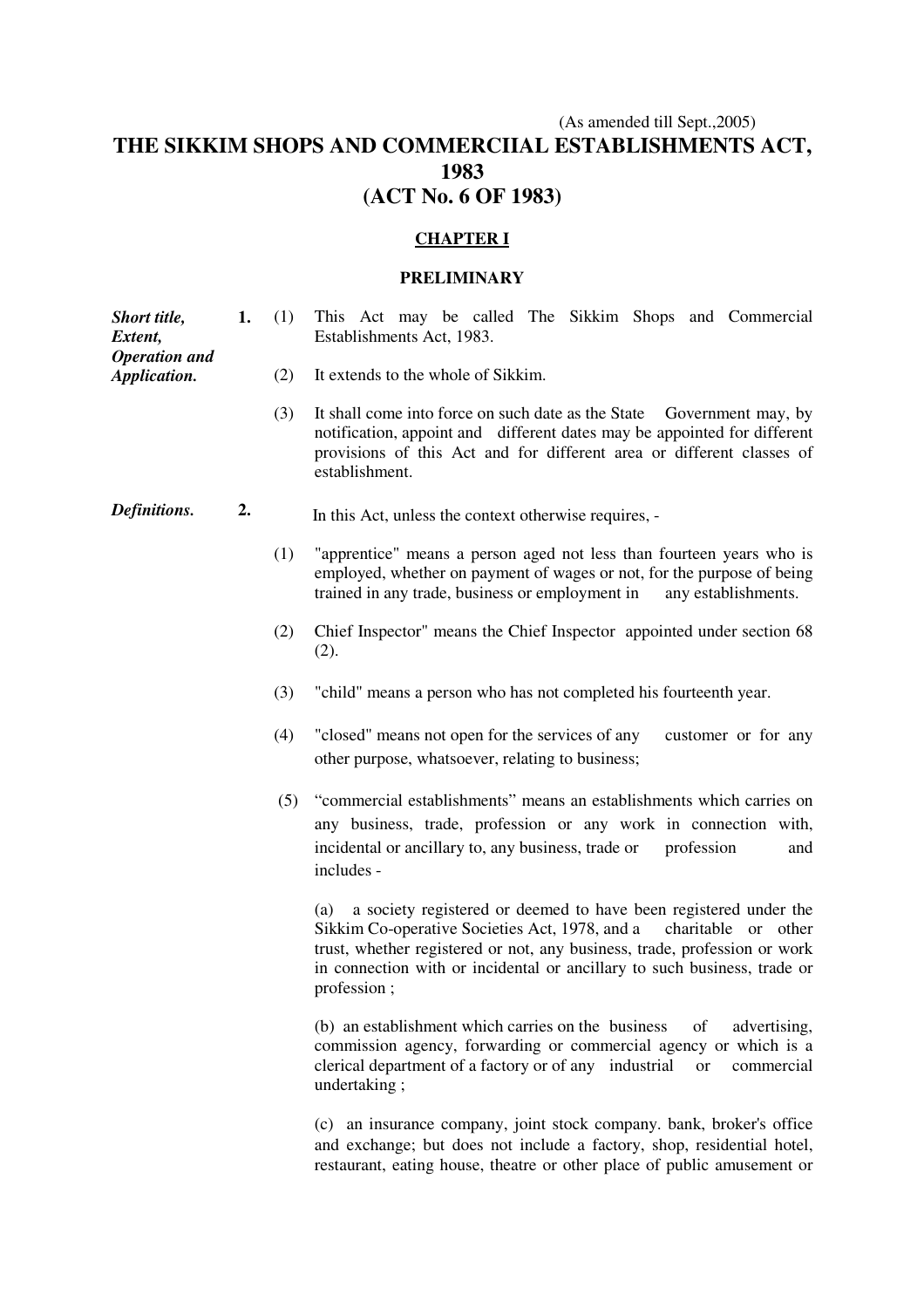# (As amended till Sept.,2005) **THE SIKKIM SHOPS AND COMMERCIIAL ESTABLISHMENTS ACT, 1983 (ACT No. 6 OF 1983)**

## **CHAPTER I**

#### **PRELIMINARY**

**1.** (1) This Act may be called The Sikkim Shops and Commercial Establishments Act, 1983.

- (2) It extends to the whole of Sikkim.
- (3) It shall come into force on such date as the State Government may, by notification, appoint and different dates may be appointed for different provisions of this Act and for different area or different classes of establishment.
- *Definitions.* **2.** In this Act, unless the context otherwise requires, -
	- (1) "apprentice" means a person aged not less than fourteen years who is employed, whether on payment of wages or not, for the purpose of being trained in any trade, business or employment in any establishments.
	- (2) Chief Inspector" means the Chief Inspector appointed under section 68 (2).
	- (3) "child" means a person who has not completed his fourteenth year.
	- (4) "closed" means not open for the services of any customer or for any other purpose, whatsoever, relating to business;
	- (5) "commercial establishments" means an establishments which carries on any business, trade, profession or any work in connection with, incidental or ancillary to, any business, trade or profession and includes -

 (a) a society registered or deemed to have been registered under the Sikkim Co-operative Societies Act, 1978, and a charitable or other trust, whether registered or not, any business, trade, profession or work in connection with or incidental or ancillary to such business, trade or profession ;

 (b) an establishment which carries on the business of advertising, commission agency, forwarding or commercial agency or which is a clerical department of a factory or of any industrial or commercial undertaking ;

 (c) an insurance company, joint stock company. bank, broker's office and exchange; but does not include a factory, shop, residential hotel, restaurant, eating house, theatre or other place of public amusement or

*Short title, Extent, Operation and Application.*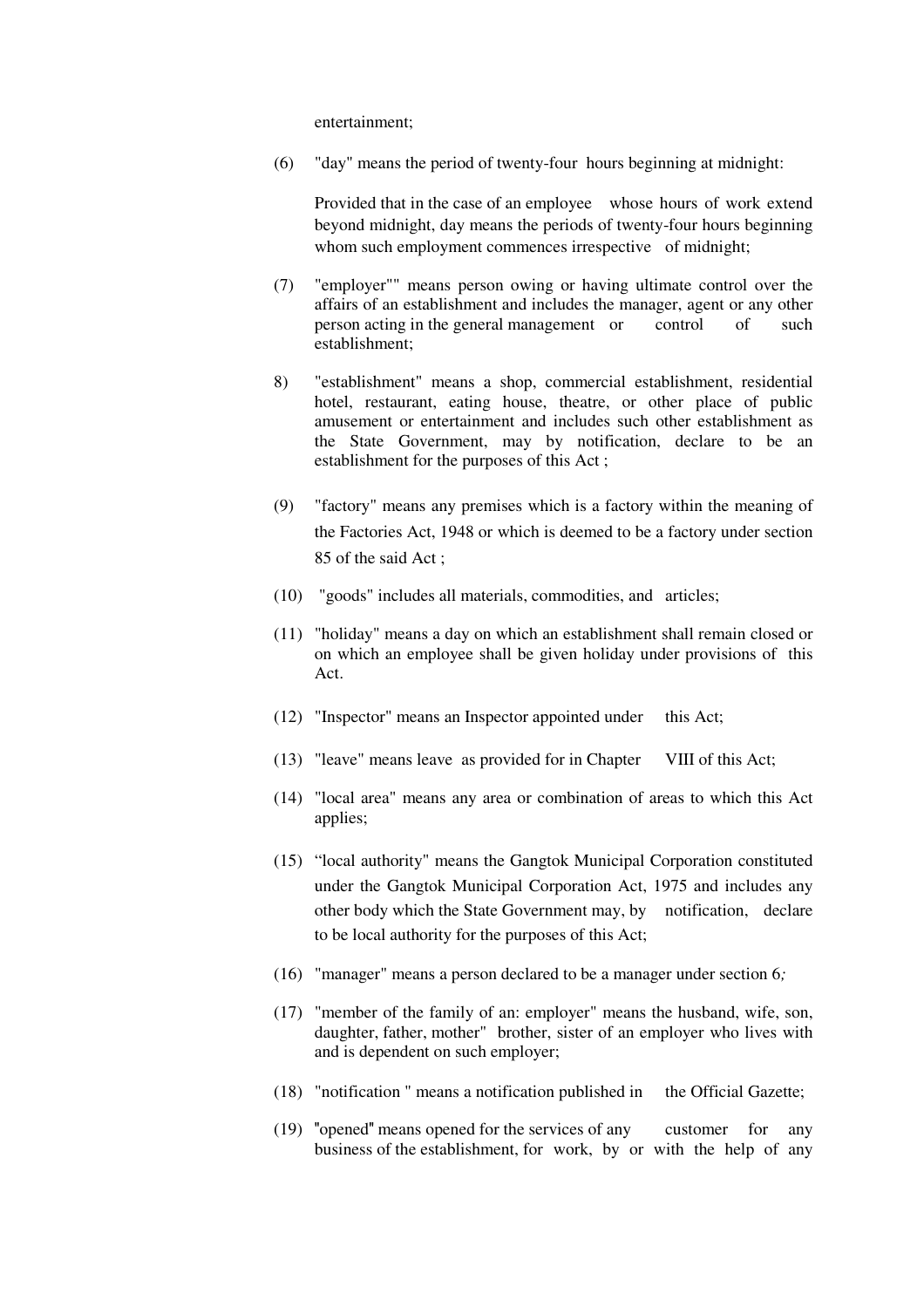entertainment;

(6) "day" means the period of twenty-four hours beginning at midnight:

 Provided that in the case of an employee whose hours of work extend beyond midnight, day means the periods of twenty-four hours beginning whom such employment commences irrespective of midnight;

- (7) "employer"" means person owing or having ultimate control over the affairs of an establishment and includes the manager, agent or any other person acting in the general management or control of such establishment;
- 8) "establishment" means a shop, commercial establishment, residential hotel, restaurant, eating house, theatre, or other place of public amusement or entertainment and includes such other establishment as the State Government, may by notification, declare to be an establishment for the purposes of this Act ;
- (9) "factory" means any premises which is a factory within the meaning of the Factories Act, 1948 or which is deemed to be a factory under section 85 of the said Act ;
- (10) "goods" includes all materials, commodities, and articles;
- (11) "holiday" means a day on which an establishment shall remain closed or on which an employee shall be given holiday under provisions of this Act.
- (12) "Inspector" means an Inspector appointed under this Act;
- (13) "leave" means leave as provided for in Chapter VIII of this Act;
- (14) "local area" means any area or combination of areas to which this Act applies;
- (15) "local authority" means the Gangtok Municipal Corporation constituted under the Gangtok Municipal Corporation Act, 1975 and includes any other body which the State Government may, by notification, declare to be local authority for the purposes of this Act;
- (16) "manager" means a person declared to be a manager under section 6*;*
- (17) "member of the family of an: employer" means the husband, wife, son, daughter, father, mother" brother, sister of an employer who lives with and is dependent on such employer;
- (18) "notification " means a notification published in the Official Gazette;
- (19) "opened" means opened for the services of any customer for any business of the establishment, for work, by or with the help of any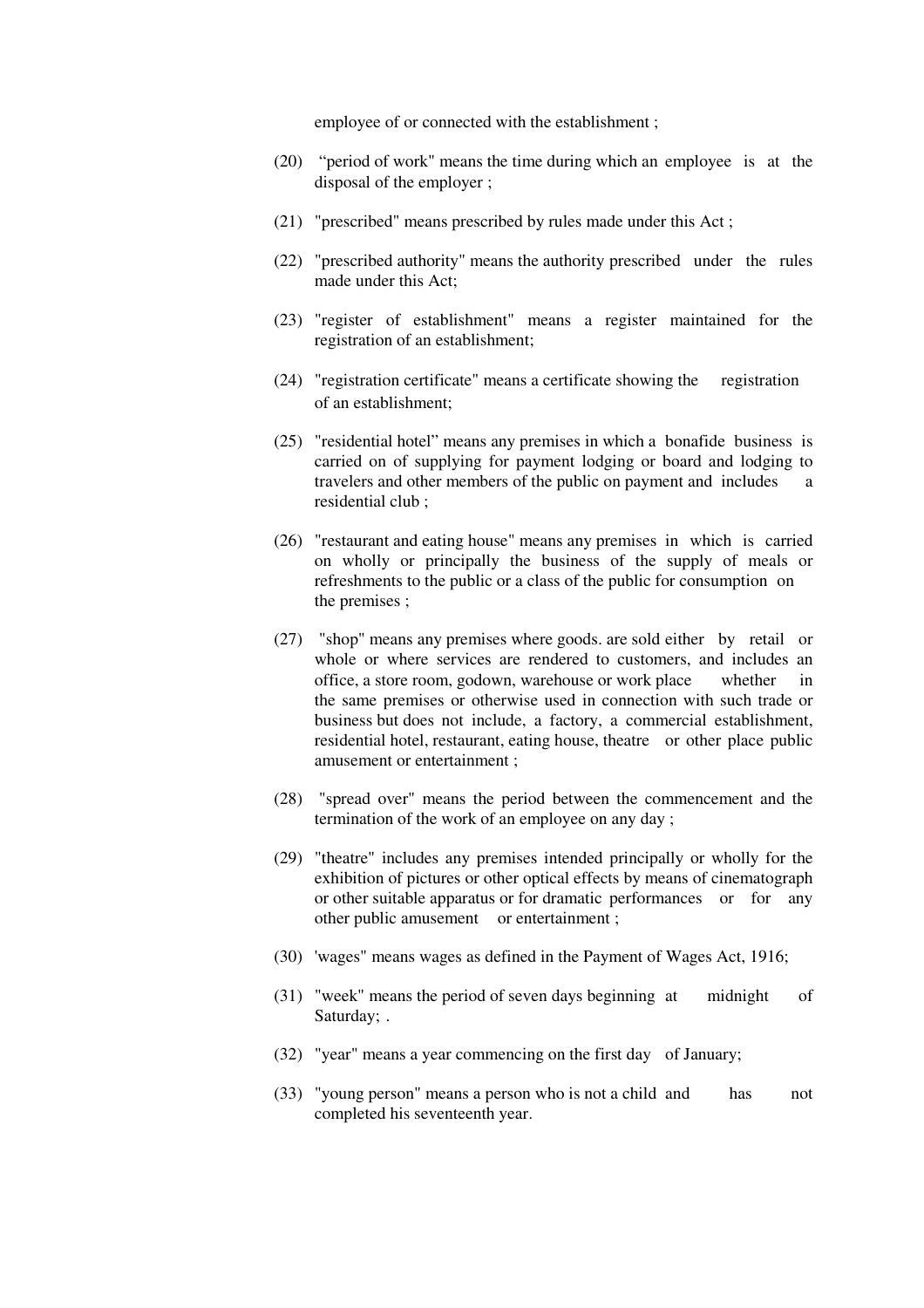employee of or connected with the establishment ;

- (20) "period of work" means the time during which an employee is at the disposal of the employer ;
- (21) "prescribed" means prescribed by rules made under this Act ;
- (22) "prescribed authority" means the authority prescribed under the rules made under this Act;
- (23) "register of establishment" means a register maintained for the registration of an establishment;
- (24) "registration certificate" means a certificate showing the registration of an establishment;
- (25) "residential hotel" means any premises in which a bonafide business is carried on of supplying for payment lodging or board and lodging to travelers and other members of the public on payment and includes a residential club ;
- (26) "restaurant and eating house" means any premises in which is carried on wholly or principally the business of the supply of meals or refreshments to the public or a class of the public for consumption on the premises ;
- (27) "shop" means any premises where goods. are sold either by retail or whole or where services are rendered to customers, and includes an office, a store room, godown, warehouse or work place whether in the same premises or otherwise used in connection with such trade or business but does not include, a factory, a commercial establishment, residential hotel, restaurant, eating house, theatre or other place public amusement or entertainment ;
- (28) "spread over" means the period between the commencement and the termination of the work of an employee on any day ;
- (29) "theatre" includes any premises intended principally or wholly for the exhibition of pictures or other optical effects by means of cinematograph or other suitable apparatus or for dramatic performances or for any other public amusement or entertainment ;
- (30) 'wages" means wages as defined in the Payment of Wages Act, 1916;
- (31) "week" means the period of seven days beginning at midnight of Saturday; .
- (32) "year" means a year commencing on the first day of January;
- (33) "young person" means a person who is not a child and has not completed his seventeenth year.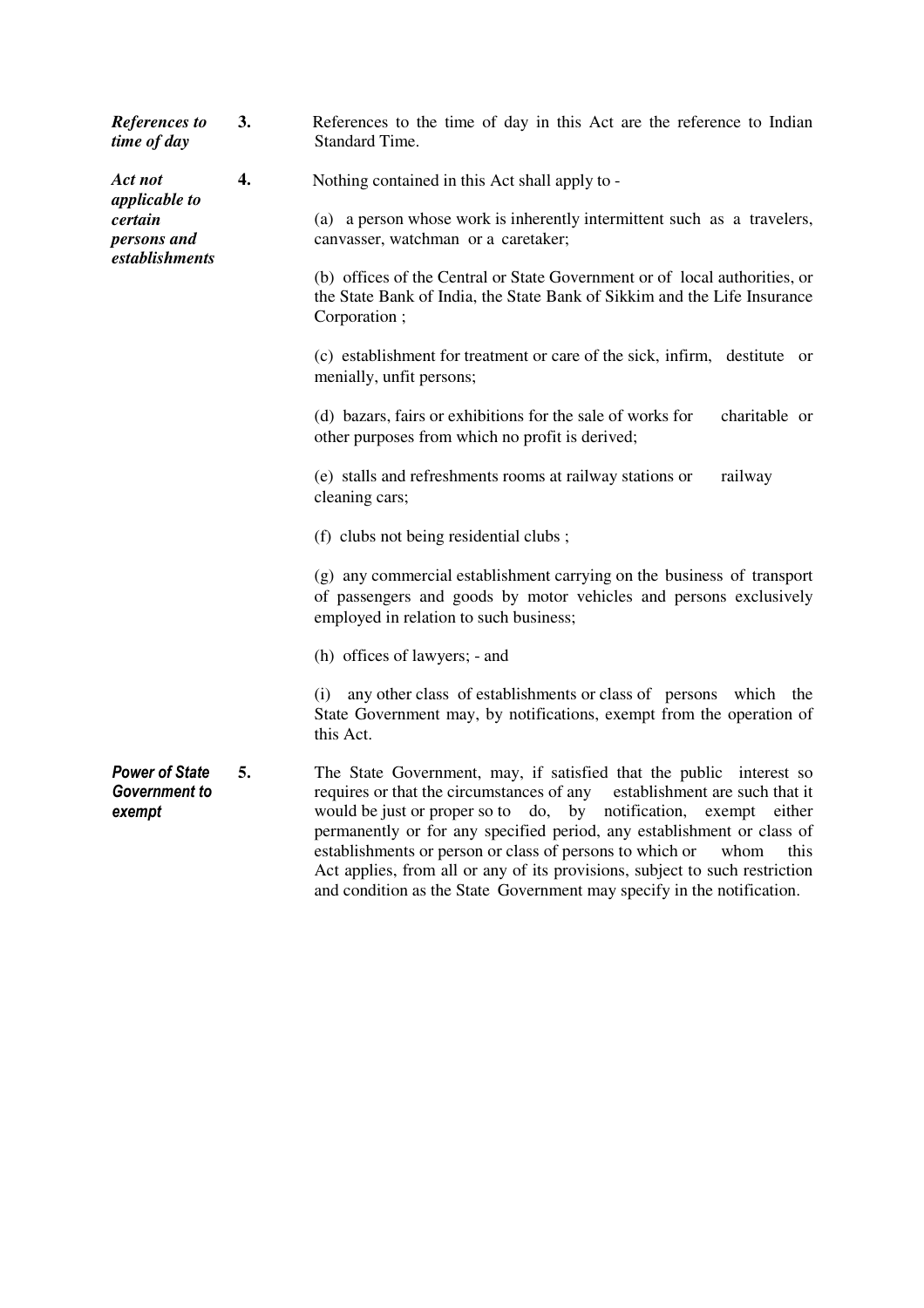| <b>References</b> to<br>time of day                     | 3. | References to the time of day in this Act are the reference to Indian<br>Standard Time.                                                                                                                                                                                                                                                                                                                                                                                                                                               |
|---------------------------------------------------------|----|---------------------------------------------------------------------------------------------------------------------------------------------------------------------------------------------------------------------------------------------------------------------------------------------------------------------------------------------------------------------------------------------------------------------------------------------------------------------------------------------------------------------------------------|
| Act not<br><i>applicable to</i>                         | 4. | Nothing contained in this Act shall apply to -                                                                                                                                                                                                                                                                                                                                                                                                                                                                                        |
| certain<br>persons and<br>establishments                |    | (a) a person whose work is inherently intermittent such as a travelers,<br>canvasser, watchman or a caretaker;                                                                                                                                                                                                                                                                                                                                                                                                                        |
|                                                         |    | (b) offices of the Central or State Government or of local authorities, or<br>the State Bank of India, the State Bank of Sikkim and the Life Insurance<br>Corporation;                                                                                                                                                                                                                                                                                                                                                                |
|                                                         |    | (c) establishment for treatment or care of the sick, infirm, destitute or<br>menially, unfit persons;                                                                                                                                                                                                                                                                                                                                                                                                                                 |
|                                                         |    | (d) bazars, fairs or exhibitions for the sale of works for<br>charitable or<br>other purposes from which no profit is derived;                                                                                                                                                                                                                                                                                                                                                                                                        |
|                                                         |    | (e) stalls and refreshments rooms at railway stations or<br>railway<br>cleaning cars;                                                                                                                                                                                                                                                                                                                                                                                                                                                 |
|                                                         |    | (f) clubs not being residential clubs;                                                                                                                                                                                                                                                                                                                                                                                                                                                                                                |
|                                                         |    | (g) any commercial establishment carrying on the business of transport<br>of passengers and goods by motor vehicles and persons exclusively<br>employed in relation to such business;                                                                                                                                                                                                                                                                                                                                                 |
|                                                         |    | (h) offices of lawyers; - and                                                                                                                                                                                                                                                                                                                                                                                                                                                                                                         |
|                                                         |    | any other class of establishments or class of persons which the<br>(i)<br>State Government may, by notifications, exempt from the operation of<br>this Act.                                                                                                                                                                                                                                                                                                                                                                           |
| <b>Power of State</b><br><b>Government to</b><br>exempt | 5. | The State Government, may, if satisfied that the public interest so<br>requires or that the circumstances of any establishment are such that it<br>would be just or proper so to do, by notification,<br>exempt either<br>permanently or for any specified period, any establishment or class of<br>establishments or person or class of persons to which or<br>whom<br>this<br>Act applies, from all or any of its provisions, subject to such restriction<br>and condition as the State Government may specify in the notification. |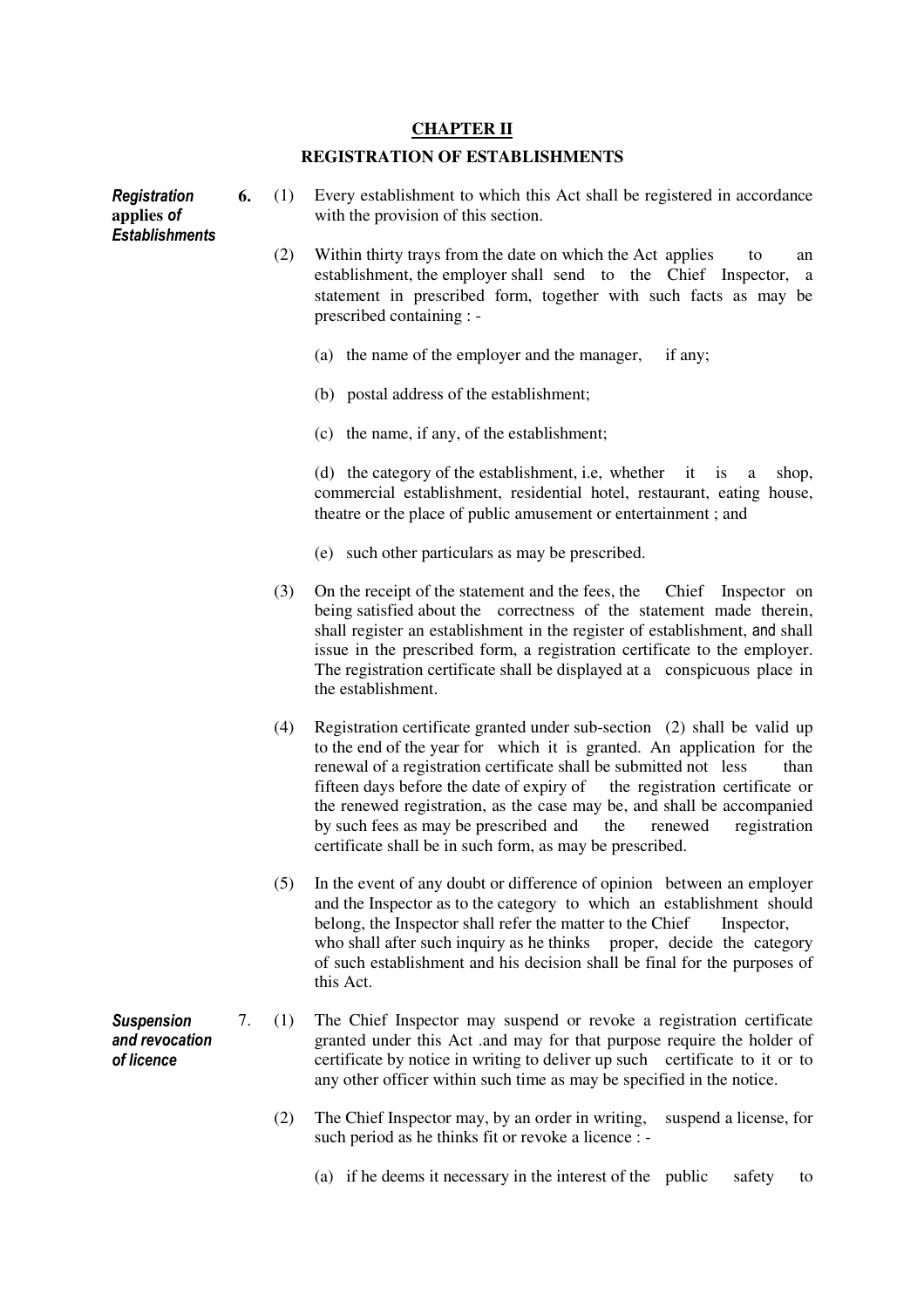## **CHAPTER II**

#### **REGISTRATION OF ESTABLISHMENTS**

**Registration applies** of **Establishments 6.** (1) Every establishment to which this Act shall be registered in accordance with the provision of this section. (2) Within thirty trays from the date on which the Act applies to an establishment, the employer shall send to the Chief Inspector, a statement in prescribed form, together with such facts as may be prescribed containing : - (a) the name of the employer and the manager, if any; (b) postal address of the establishment; (c) the name, if any, of the establishment; (d) the category of the establishment, i.e, whether it is a shop, commercial establishment, residential hotel, restaurant, eating house, theatre or the place of public amusement or entertainment ; and (e) such other particulars as may be prescribed. (3) On the receipt of the statement and the fees, the Chief Inspector on being satisfied about the correctness of the statement made therein, shall register an establishment in the register of establishment, and shall issue in the prescribed form, a registration certificate to the employer. The registration certificate shall be displayed at a conspicuous place in the establishment. (4) Registration certificate granted under sub-section (2) shall be valid up to the end of the year for which it is granted. An application for the renewal of a registration certificate shall be submitted not less than fifteen days before the date of expiry of the registration certificate or the renewed registration, as the case may be, and shall be accompanied by such fees as may be prescribed and the renewed registration certificate shall be in such form, as may be prescribed. (5) In the event of any doubt or difference of opinion between an employer and the Inspector as to the category to which an establishment should belong, the Inspector shall refer the matter to the Chief Inspector, who shall after such inquiry as he thinks proper, decide the category of such establishment and his decision shall be final for the purposes of this Act. **Suspension** and revocation of licence 7. (1) The Chief Inspector may suspend or revoke a registration certificate granted under this Act .and may for that purpose require the holder of certificate by notice in writing to deliver up such certificate to it or to any other officer within such time as may be specified in the notice. (2) The Chief Inspector may, by an order in writing, suspend a license, for such period as he thinks fit or revoke a licence : -

(a) if he deems it necessary in the interest of the public safety to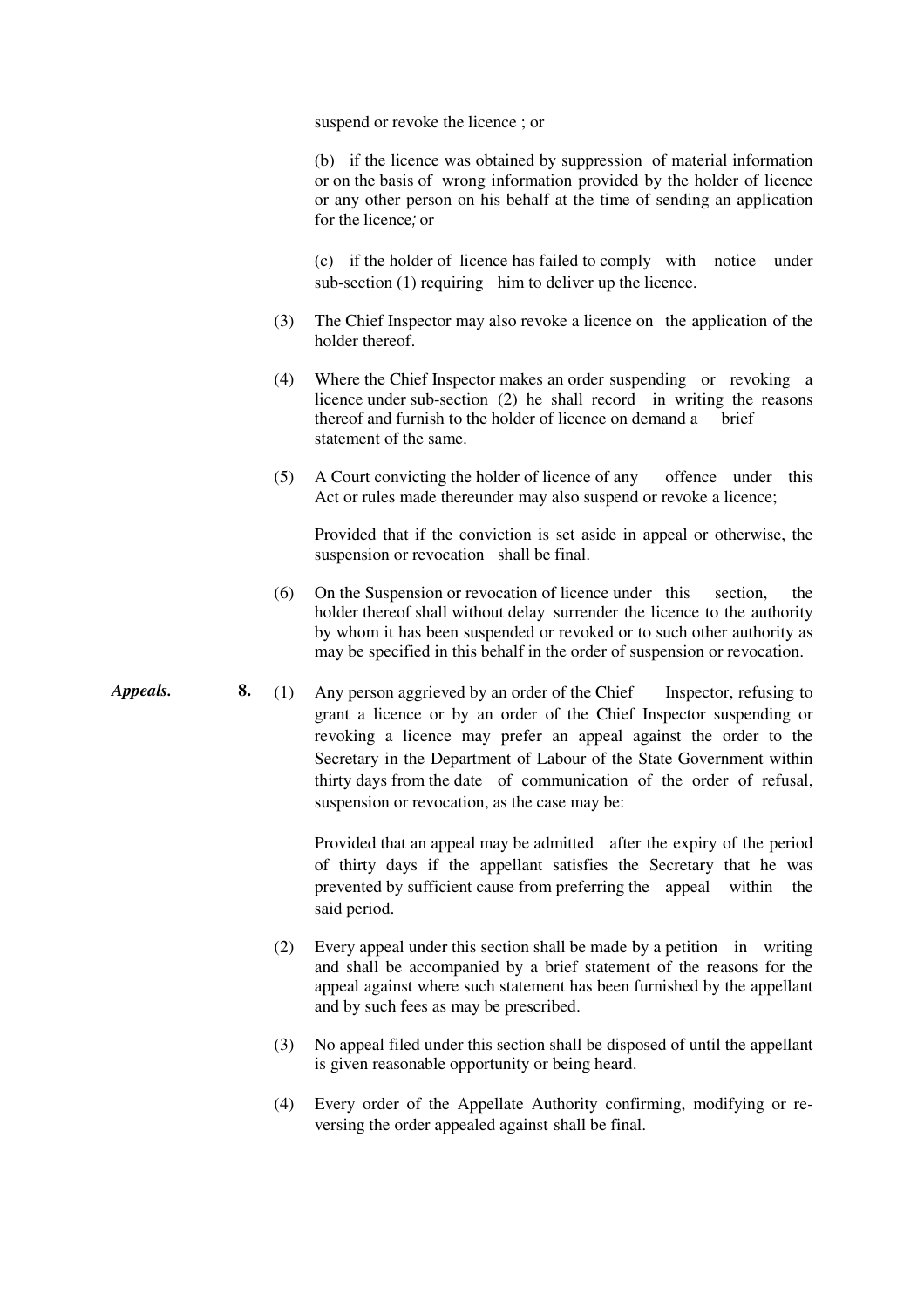suspend or revoke the licence ; or

 (b) if the licence was obtained by suppression of material information or on the basis of wrong information provided by the holder of licence or any other person on his behalf at the time of sending an application for the licence; or

(c) if the holder of licence has failed to comply with notice under sub-section (1) requiring him to deliver up the licence.

- (3) The Chief Inspector may also revoke a licence on the application of the holder thereof.
- (4) Where the Chief Inspector makes an order suspending or revoking a licence under sub-section (2) he shall record in writing the reasons thereof and furnish to the holder of licence on demand a brief statement of the same.
- (5) A Court convicting the holder of licence of any offence under this Act or rules made thereunder may also suspend or revoke a licence;

 Provided that if the conviction is set aside in appeal or otherwise, the suspension or revocation shall be final.

- (6) On the Suspension or revocation of licence under this section, the holder thereof shall without delay surrender the licence to the authority by whom it has been suspended or revoked or to such other authority as may be specified in this behalf in the order of suspension or revocation.
- *Appeals.* **8.** (1) Any person aggrieved by an order of the Chief Inspector, refusing to grant a licence or by an order of the Chief Inspector suspending or revoking a licence may prefer an appeal against the order to the Secretary in the Department of Labour of the State Government within thirty days from the date of communication of the order of refusal, suspension or revocation, as the case may be:

 Provided that an appeal may be admitted after the expiry of the period of thirty days if the appellant satisfies the Secretary that he was prevented by sufficient cause from preferring the appeal within the said period.

- (2) Every appeal under this section shall be made by a petition in writing and shall be accompanied by a brief statement of the reasons for the appeal against where such statement has been furnished by the appellant and by such fees as may be prescribed.
- (3) No appeal filed under this section shall be disposed of until the appellant is given reasonable opportunity or being heard.
- (4) Every order of the Appellate Authority confirming, modifying or reversing the order appealed against shall be final.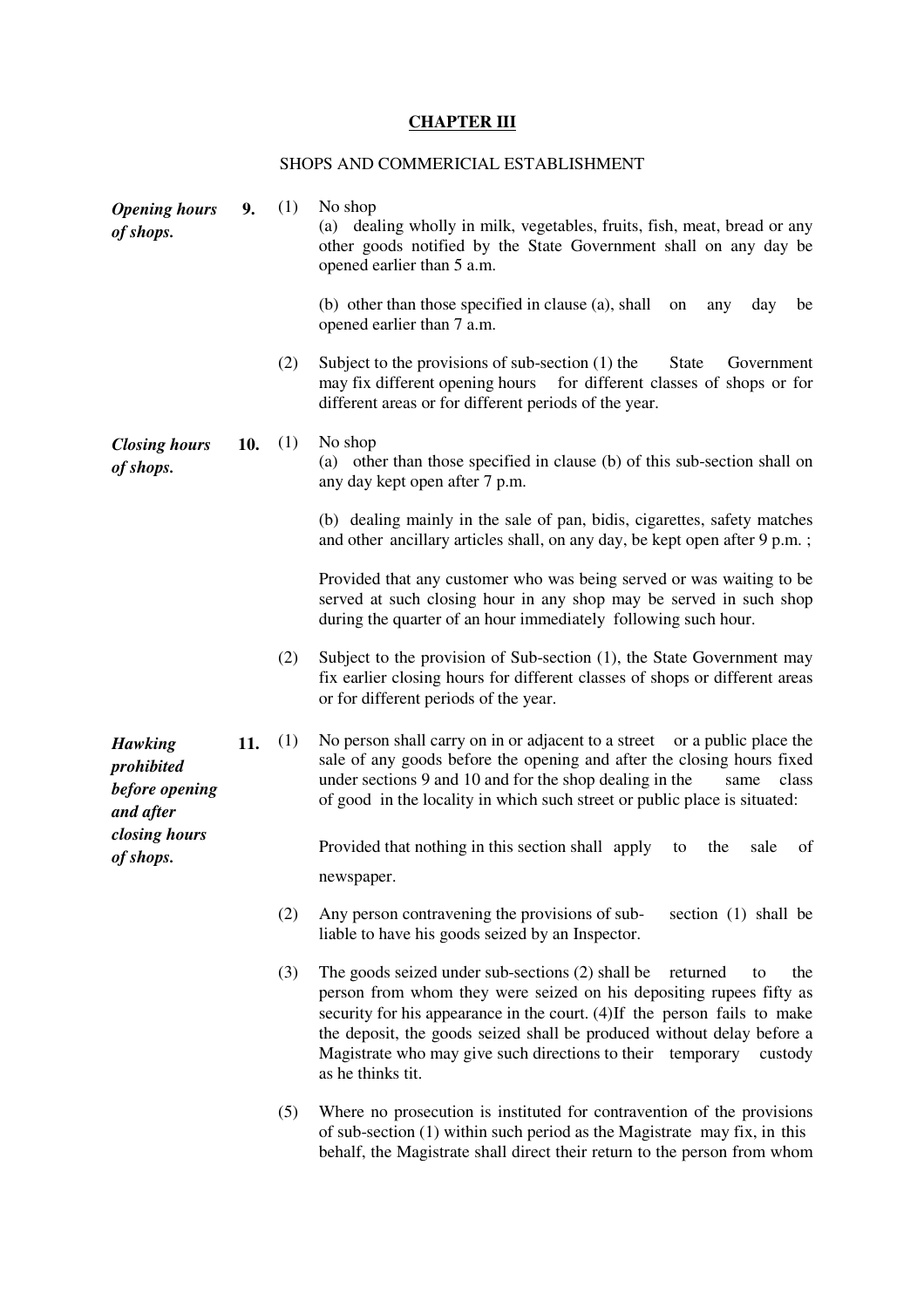# **CHAPTER III**

## SHOPS AND COMMERICIAL ESTABLISHMENT

| <b>Opening hours</b><br>of shops.                           | 9.  | (1) | No shop<br>(a) dealing wholly in milk, vegetables, fruits, fish, meat, bread or any<br>other goods notified by the State Government shall on any day be<br>opened earlier than 5 a.m.                                                                                                                                                                                                                 |
|-------------------------------------------------------------|-----|-----|-------------------------------------------------------------------------------------------------------------------------------------------------------------------------------------------------------------------------------------------------------------------------------------------------------------------------------------------------------------------------------------------------------|
|                                                             |     |     | (b) other than those specified in clause (a), shall<br>day<br>be<br>on<br>any<br>opened earlier than 7 a.m.                                                                                                                                                                                                                                                                                           |
|                                                             |     | (2) | Subject to the provisions of sub-section $(1)$ the<br><b>State</b><br>Government<br>may fix different opening hours for different classes of shops or for<br>different areas or for different periods of the year.                                                                                                                                                                                    |
| <b>Closing hours</b><br>of shops.                           | 10. | (1) | No shop<br>(a) other than those specified in clause (b) of this sub-section shall on<br>any day kept open after 7 p.m.                                                                                                                                                                                                                                                                                |
|                                                             |     |     | (b) dealing mainly in the sale of pan, bidis, cigarettes, safety matches<br>and other ancillary articles shall, on any day, be kept open after 9 p.m.;                                                                                                                                                                                                                                                |
|                                                             |     |     | Provided that any customer who was being served or was waiting to be<br>served at such closing hour in any shop may be served in such shop<br>during the quarter of an hour immediately following such hour.                                                                                                                                                                                          |
|                                                             |     | (2) | Subject to the provision of Sub-section (1), the State Government may<br>fix earlier closing hours for different classes of shops or different areas<br>or for different periods of the year.                                                                                                                                                                                                         |
| <b>Hawking</b><br>prohibited<br>before opening<br>and after | 11. | (1) | No person shall carry on in or adjacent to a street or a public place the<br>sale of any goods before the opening and after the closing hours fixed<br>under sections 9 and 10 and for the shop dealing in the<br>class<br>same<br>of good in the locality in which such street or public place is situated:                                                                                          |
| closing hours<br>of shops.                                  |     |     | Provided that nothing in this section shall apply<br>the<br>sale<br>of<br>to<br>newspaper.                                                                                                                                                                                                                                                                                                            |
|                                                             |     | (2) | Any person contravening the provisions of sub-<br>section (1) shall be<br>liable to have his goods seized by an Inspector.                                                                                                                                                                                                                                                                            |
|                                                             |     | (3) | The goods seized under sub-sections (2) shall be<br>returned<br>the<br>to<br>person from whom they were seized on his depositing rupees fifty as<br>security for his appearance in the court. (4) If the person fails to make<br>the deposit, the goods seized shall be produced without delay before a<br>Magistrate who may give such directions to their temporary<br>custody<br>as he thinks tit. |
|                                                             |     | (5) | Where no prosecution is instituted for contravention of the provisions<br>of sub-section $(1)$ within such period as the Magistrate may fix, in this<br>behalf, the Magistrate shall direct their return to the person from whom                                                                                                                                                                      |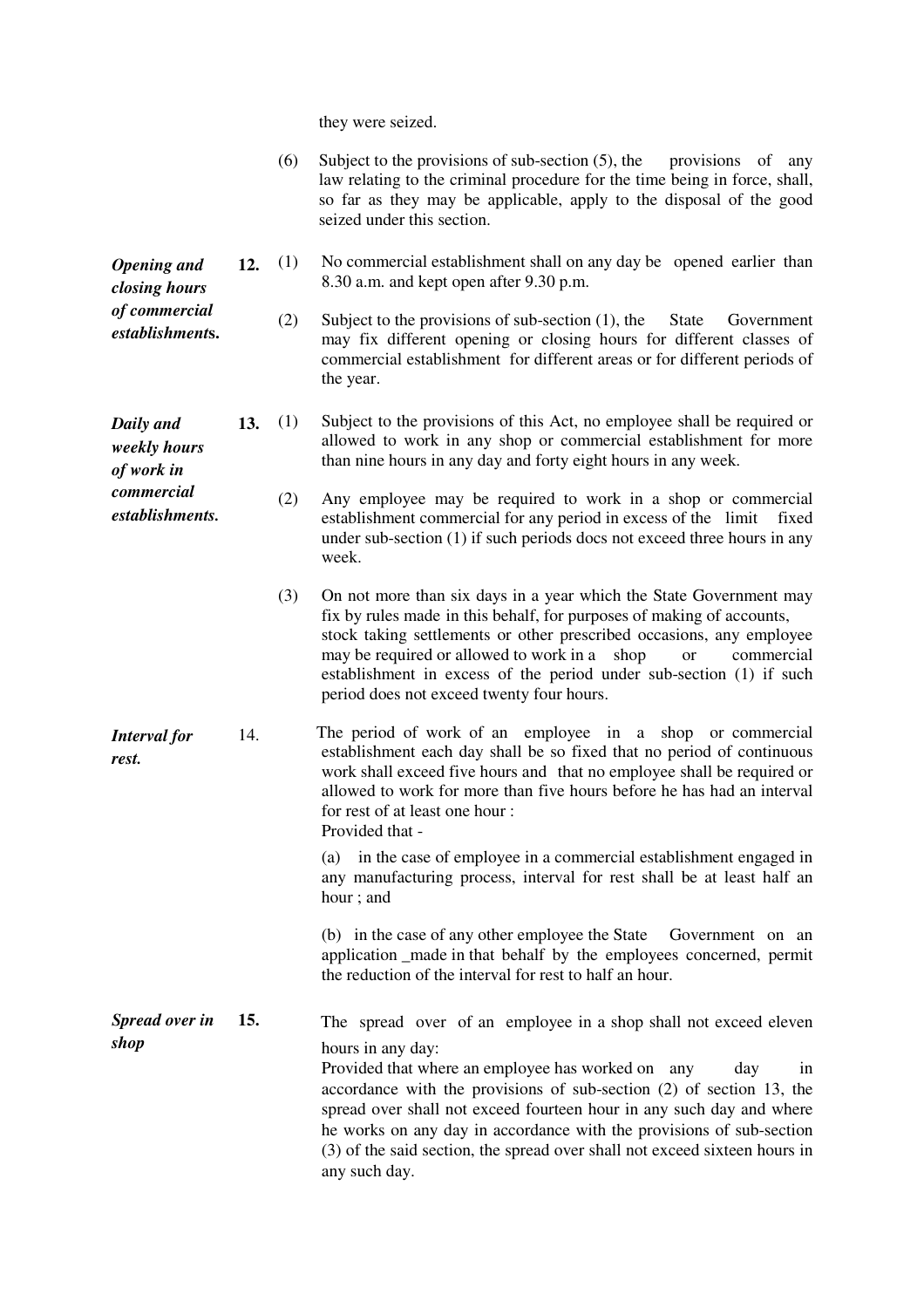they were seized.

|                                         |     | (6) | Subject to the provisions of sub-section $(5)$ , the<br>provisions of<br>any<br>law relating to the criminal procedure for the time being in force, shall,<br>so far as they may be applicable, apply to the disposal of the good<br>seized under this section.                                                                                                                                                                                                                |
|-----------------------------------------|-----|-----|--------------------------------------------------------------------------------------------------------------------------------------------------------------------------------------------------------------------------------------------------------------------------------------------------------------------------------------------------------------------------------------------------------------------------------------------------------------------------------|
| <b>Opening</b> and<br>closing hours     | 12. | (1) | No commercial establishment shall on any day be opened earlier than<br>8.30 a.m. and kept open after 9.30 p.m.                                                                                                                                                                                                                                                                                                                                                                 |
| of commercial<br>establishments.        |     | (2) | Subject to the provisions of sub-section $(1)$ , the<br><b>State</b><br>Government<br>may fix different opening or closing hours for different classes of<br>commercial establishment for different areas or for different periods of<br>the year.                                                                                                                                                                                                                             |
| Daily and<br>weekly hours<br>of work in | 13. | (1) | Subject to the provisions of this Act, no employee shall be required or<br>allowed to work in any shop or commercial establishment for more<br>than nine hours in any day and forty eight hours in any week.                                                                                                                                                                                                                                                                   |
| commercial<br>establishments.           |     | (2) | Any employee may be required to work in a shop or commercial<br>establishment commercial for any period in excess of the limit<br>fixed<br>under sub-section (1) if such periods docs not exceed three hours in any<br>week.                                                                                                                                                                                                                                                   |
|                                         |     | (3) | On not more than six days in a year which the State Government may<br>fix by rules made in this behalf, for purposes of making of accounts,<br>stock taking settlements or other prescribed occasions, any employee<br>may be required or allowed to work in a shop<br><b>or</b><br>commercial<br>establishment in excess of the period under sub-section (1) if such<br>period does not exceed twenty four hours.                                                             |
| <b>Interval</b> for<br>rest.            | 14. |     | The period of work of an employee in a shop or commercial<br>establishment each day shall be so fixed that no period of continuous<br>work shall exceed five hours and that no employee shall be required or<br>allowed to work for more than five hours before he has had an interval<br>for rest of at least one hour:<br>Provided that -                                                                                                                                    |
|                                         |     |     | in the case of employee in a commercial establishment engaged in<br>(a)<br>any manufacturing process, interval for rest shall be at least half an<br>hour; and                                                                                                                                                                                                                                                                                                                 |
|                                         |     |     | (b) in the case of any other employee the State<br>Government on an<br>application _made in that behalf by the employees concerned, permit<br>the reduction of the interval for rest to half an hour.                                                                                                                                                                                                                                                                          |
| Spread over in<br>shop                  | 15. |     | The spread over of an employee in a shop shall not exceed eleven<br>hours in any day:<br>Provided that where an employee has worked on any<br>day<br>1n<br>accordance with the provisions of sub-section (2) of section 13, the<br>spread over shall not exceed fourteen hour in any such day and where<br>he works on any day in accordance with the provisions of sub-section<br>(3) of the said section, the spread over shall not exceed sixteen hours in<br>any such day. |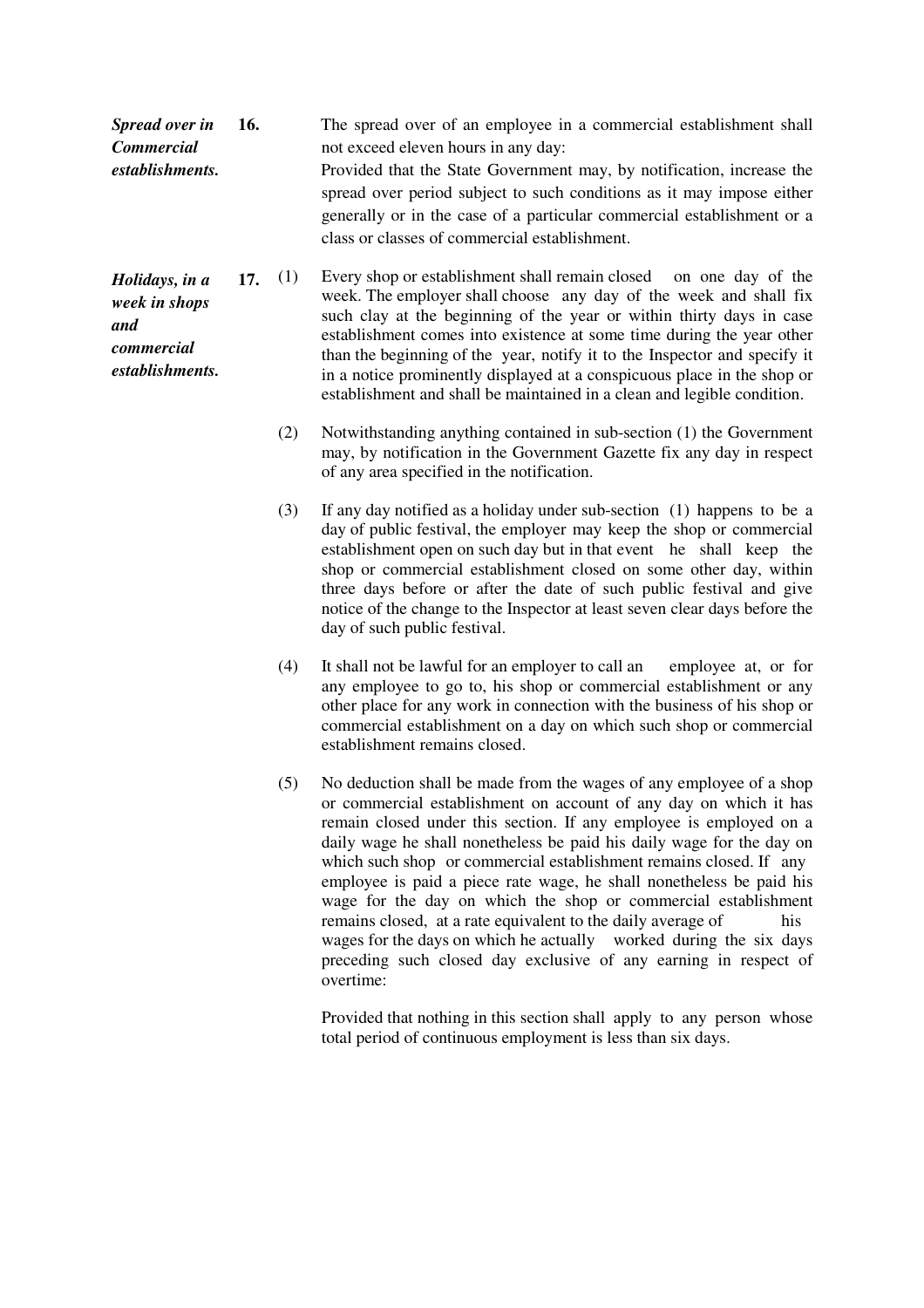| <b>Spread over in</b> | <b>16.</b> |     | The spread over of an employee in a commercial establishment shall                                                                                                                                                                                                        |
|-----------------------|------------|-----|---------------------------------------------------------------------------------------------------------------------------------------------------------------------------------------------------------------------------------------------------------------------------|
| <b>Commercial</b>     |            |     | not exceed eleven hours in any day:                                                                                                                                                                                                                                       |
| establishments.       |            |     | Provided that the State Government may, by notification, increase the<br>spread over period subject to such conditions as it may impose either<br>generally or in the case of a particular commercial establishment or a<br>class or classes of commercial establishment. |
| Holidays, in a        | <b>17.</b> | (1) | Every shop or establishment shall remain closed on one day of the<br>week The employer shell shoose, ony doy of the week and shell fix                                                                                                                                    |

*week in shops and commercial establishments.* week. The employer shall chooseany day of the week and shall fix such clay at the beginning of the year or within thirty days in case establishment comes into existence at some time during the year other than the beginning of the year, notify it to the Inspector and specify it in a notice prominently displayed at a conspicuous place in the shop or establishment and shall be maintained in a clean and legible condition.

- (2) Notwithstanding anything contained in sub-section (1) the Government may, by notification in the Government Gazette fix any day in respect of any area specified in the notification.
- (3) If any day notified as a holiday under sub-section (1) happens to be a day of public festival, the employer may keep the shop or commercial establishment open on such day but in that event he shall keep the shop or commercial establishment closed on some other day, within three days before or after the date of such public festival and give notice of the change to the Inspector at least seven clear days before the day of such public festival.
- (4) It shall not be lawful for an employer to call an employee at, or for any employee to go to, his shop or commercial establishment or any other place for any work in connection with the business of his shop or commercial establishment on a day on which such shop or commercial establishment remains closed.
- (5) No deduction shall be made from the wages of any employee of a shop or commercial establishment on account of any day on which it has remain closed under this section. If any employee is employed on a daily wage he shall nonetheless be paid his daily wage for the day on which such shop or commercial establishment remains closed. If any employee is paid a piece rate wage, he shall nonetheless be paid his wage for the day on which the shop or commercial establishment remains closed, at a rate equivalent to the daily average of his wages for the days on which he actually worked during the six days preceding such closed day exclusive of any earning in respect of overtime:

 Provided that nothing in this section shall apply to any person whose total period of continuous employment is less than six days.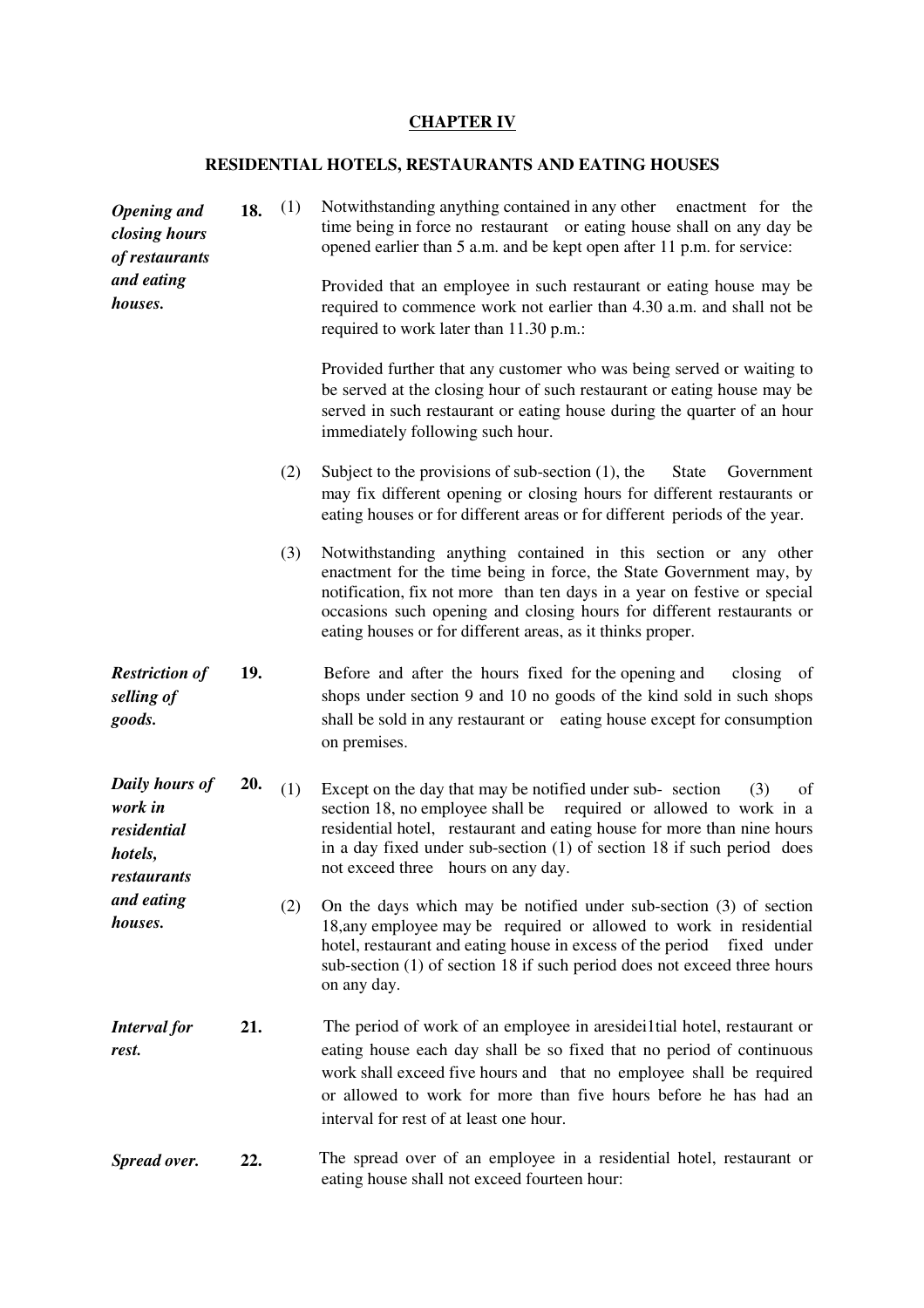# **CHAPTER IV**

## **RESIDENTIAL HOTELS, RESTAURANTS AND EATING HOUSES**

| <b>Opening</b> and<br>closing hours<br>of restaurants<br>and eating<br>houses. | 18. | (1) | Notwithstanding anything contained in any other enactment for the<br>time being in force no restaurant or eating house shall on any day be<br>opened earlier than 5 a.m. and be kept open after 11 p.m. for service:<br>Provided that an employee in such restaurant or eating house may be<br>required to commence work not earlier than 4.30 a.m. and shall not be<br>required to work later than 11.30 p.m.: |
|--------------------------------------------------------------------------------|-----|-----|-----------------------------------------------------------------------------------------------------------------------------------------------------------------------------------------------------------------------------------------------------------------------------------------------------------------------------------------------------------------------------------------------------------------|
|                                                                                |     |     | Provided further that any customer who was being served or waiting to<br>be served at the closing hour of such restaurant or eating house may be<br>served in such restaurant or eating house during the quarter of an hour<br>immediately following such hour.                                                                                                                                                 |
|                                                                                |     | (2) | Subject to the provisions of sub-section $(1)$ , the<br><b>State</b><br>Government<br>may fix different opening or closing hours for different restaurants or<br>eating houses or for different areas or for different periods of the year.                                                                                                                                                                     |
|                                                                                |     | (3) | Notwithstanding anything contained in this section or any other<br>enactment for the time being in force, the State Government may, by<br>notification, fix not more than ten days in a year on festive or special<br>occasions such opening and closing hours for different restaurants or<br>eating houses or for different areas, as it thinks proper.                                                       |
| <b>Restriction of</b><br>selling of<br>goods.                                  | 19. |     | Before and after the hours fixed for the opening and<br>closing<br>- of<br>shops under section 9 and 10 no goods of the kind sold in such shops<br>shall be sold in any restaurant or eating house except for consumption<br>on premises.                                                                                                                                                                       |
| Daily hours of<br>work in<br>residential<br>hotels,<br>restaurants             | 20. | (1) | Except on the day that may be notified under sub-section<br>(3)<br>of<br>section 18, no employee shall be<br>required or allowed to work in a<br>residential hotel, restaurant and eating house for more than nine hours<br>in a day fixed under sub-section $(1)$ of section 18 if such period does<br>not exceed three hours on any day.                                                                      |
| and eating<br>houses.                                                          |     | (2) | On the days which may be notified under sub-section $(3)$ of section<br>18, any employee may be required or allowed to work in residential<br>hotel, restaurant and eating house in excess of the period<br>fixed under<br>sub-section (1) of section 18 if such period does not exceed three hours<br>on any day.                                                                                              |
| <b>Interval</b> for<br>rest.                                                   | 21. |     | The period of work of an employee in aresideilial hotel, restaurant or<br>eating house each day shall be so fixed that no period of continuous<br>work shall exceed five hours and that no employee shall be required<br>or allowed to work for more than five hours before he has had an<br>interval for rest of at least one hour.                                                                            |
| Spread over.                                                                   | 22. |     | The spread over of an employee in a residential hotel, restaurant or<br>eating house shall not exceed fourteen hour:                                                                                                                                                                                                                                                                                            |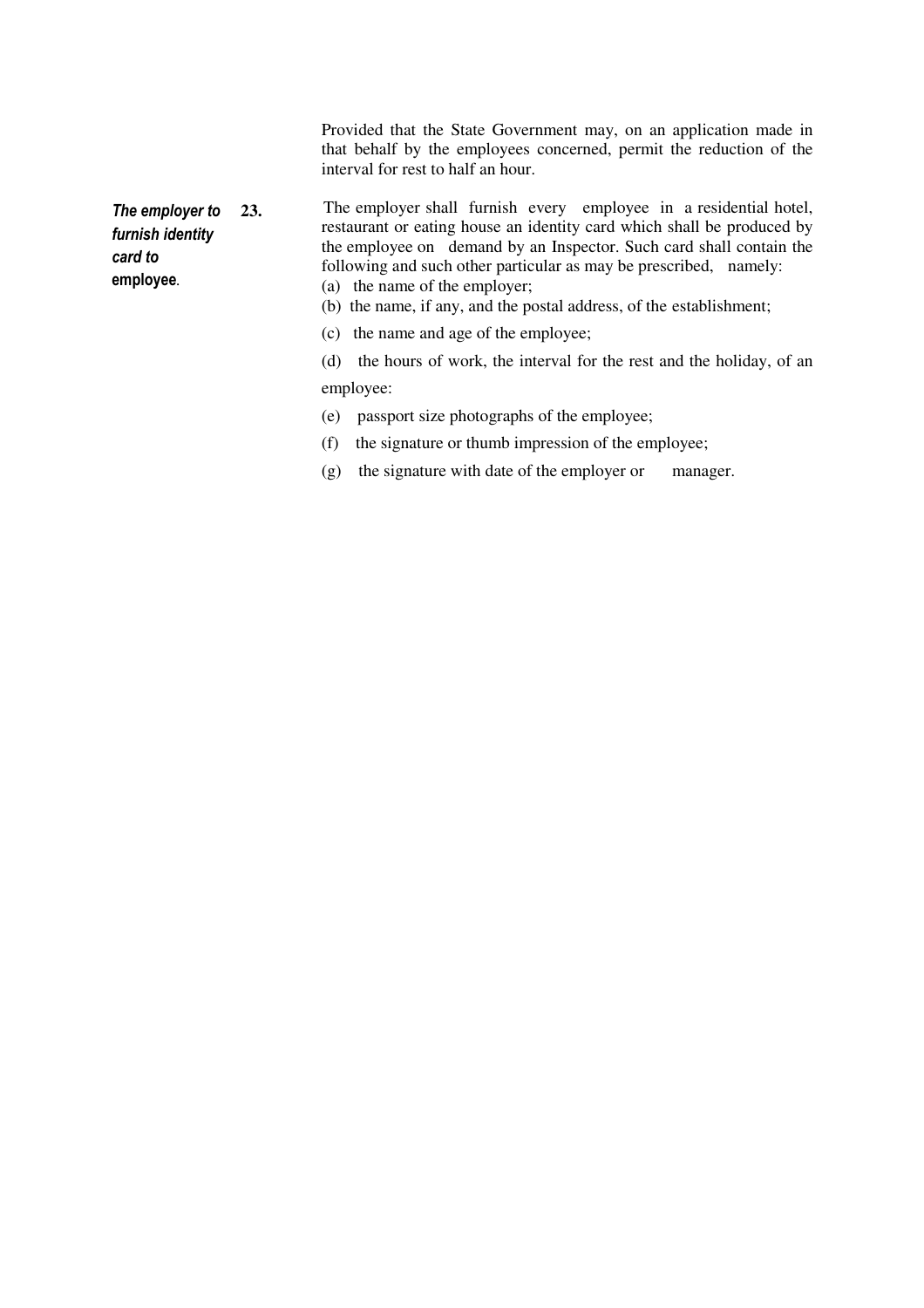Provided that the State Government may, on an application made in that behalf by the employees concerned, permit the reduction of the interval for rest to half an hour.

The employer to furnish identity card to employee*.*

23. The employer shall furnish every employee in a residential hotel, restaurant or eating house an identity card which shall be produced by the employee on demand by an Inspector. Such card shall contain the following and such other particular as may be prescribed, namely: (a) the name of the employer;

(b) the name, if any, and the postal address, of the establishment;

(c) the name and age of the employee;

 (d) the hours of work, the interval for the rest and the holiday, of an employee:

(e) passport size photographs of the employee;

- (f) the signature or thumb impression of the employee;
- (g) the signature with date of the employer or manager.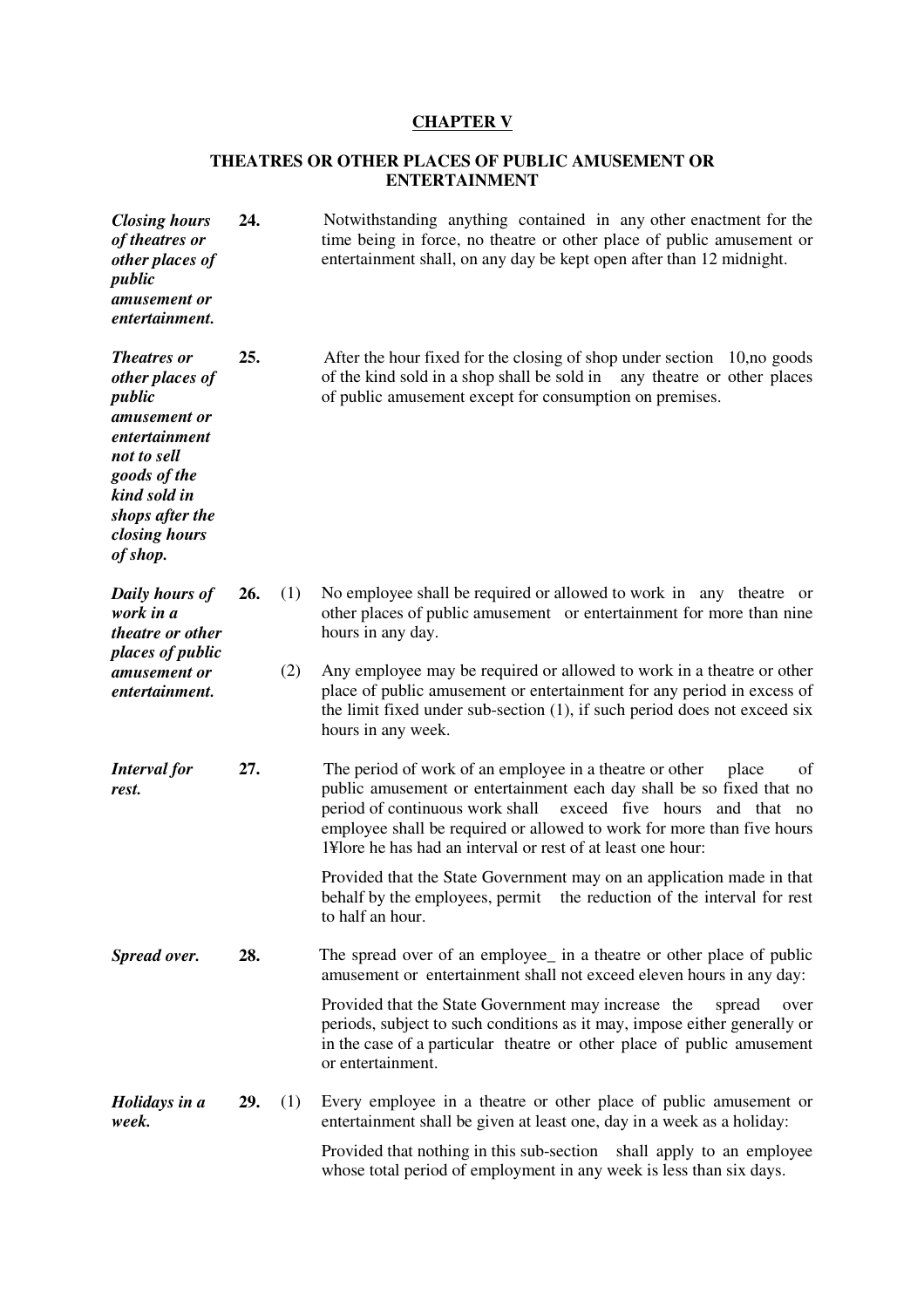## **CHAPTER V**

## **THEATRES OR OTHER PLACES OF PUBLIC AMUSEMENT OR ENTERTAINMENT**

| <b>Closing hours</b><br>of theatres or<br>other places of<br>public<br>amusement or<br>entertainment.                                                                           | 24. |     | Notwithstanding anything contained in any other enactment for the<br>time being in force, no theatre or other place of public amusement or<br>entertainment shall, on any day be kept open after than 12 midnight.                                                                                                                                          |
|---------------------------------------------------------------------------------------------------------------------------------------------------------------------------------|-----|-----|-------------------------------------------------------------------------------------------------------------------------------------------------------------------------------------------------------------------------------------------------------------------------------------------------------------------------------------------------------------|
| <b>Theatres or</b><br>other places of<br>public<br>amusement or<br>entertainment<br>not to sell<br>goods of the<br>kind sold in<br>shops after the<br>closing hours<br>of shop. | 25. |     | After the hour fixed for the closing of shop under section 10, no goods<br>of the kind sold in a shop shall be sold in<br>any theatre or other places<br>of public amusement except for consumption on premises.                                                                                                                                            |
| Daily hours of<br>work in a<br><i>theatre or other</i><br>places of public                                                                                                      | 26. | (1) | No employee shall be required or allowed to work in any theatre or<br>other places of public amusement or entertainment for more than nine<br>hours in any day.                                                                                                                                                                                             |
| amusement or<br>entertainment.                                                                                                                                                  |     | (2) | Any employee may be required or allowed to work in a theatre or other<br>place of public amusement or entertainment for any period in excess of<br>the limit fixed under sub-section $(1)$ , if such period does not exceed six<br>hours in any week.                                                                                                       |
| <b>Interval</b> for<br>rest.                                                                                                                                                    | 27. |     | The period of work of an employee in a theatre or other<br>place<br>of<br>public amusement or entertainment each day shall be so fixed that no<br>period of continuous work shall<br>exceed five hours and that no<br>employee shall be required or allowed to work for more than five hours<br>1¥lore he has had an interval or rest of at least one hour: |
|                                                                                                                                                                                 |     |     | Provided that the State Government may on an application made in that<br>behalf by the employees, permit<br>the reduction of the interval for rest<br>to half an hour.                                                                                                                                                                                      |
| Spread over.                                                                                                                                                                    | 28. |     | The spread over of an employee <sub></sub> in a theatre or other place of public<br>amusement or entertainment shall not exceed eleven hours in any day:                                                                                                                                                                                                    |
|                                                                                                                                                                                 |     |     | Provided that the State Government may increase the<br>spread<br>over<br>periods, subject to such conditions as it may, impose either generally or<br>in the case of a particular theatre or other place of public amusement<br>or entertainment.                                                                                                           |
| Holidays in a<br>week.                                                                                                                                                          | 29. | (1) | Every employee in a theatre or other place of public amusement or<br>entertainment shall be given at least one, day in a week as a holiday:                                                                                                                                                                                                                 |
|                                                                                                                                                                                 |     |     | Provided that nothing in this sub-section shall apply to an employee<br>whose total period of employment in any week is less than six days.                                                                                                                                                                                                                 |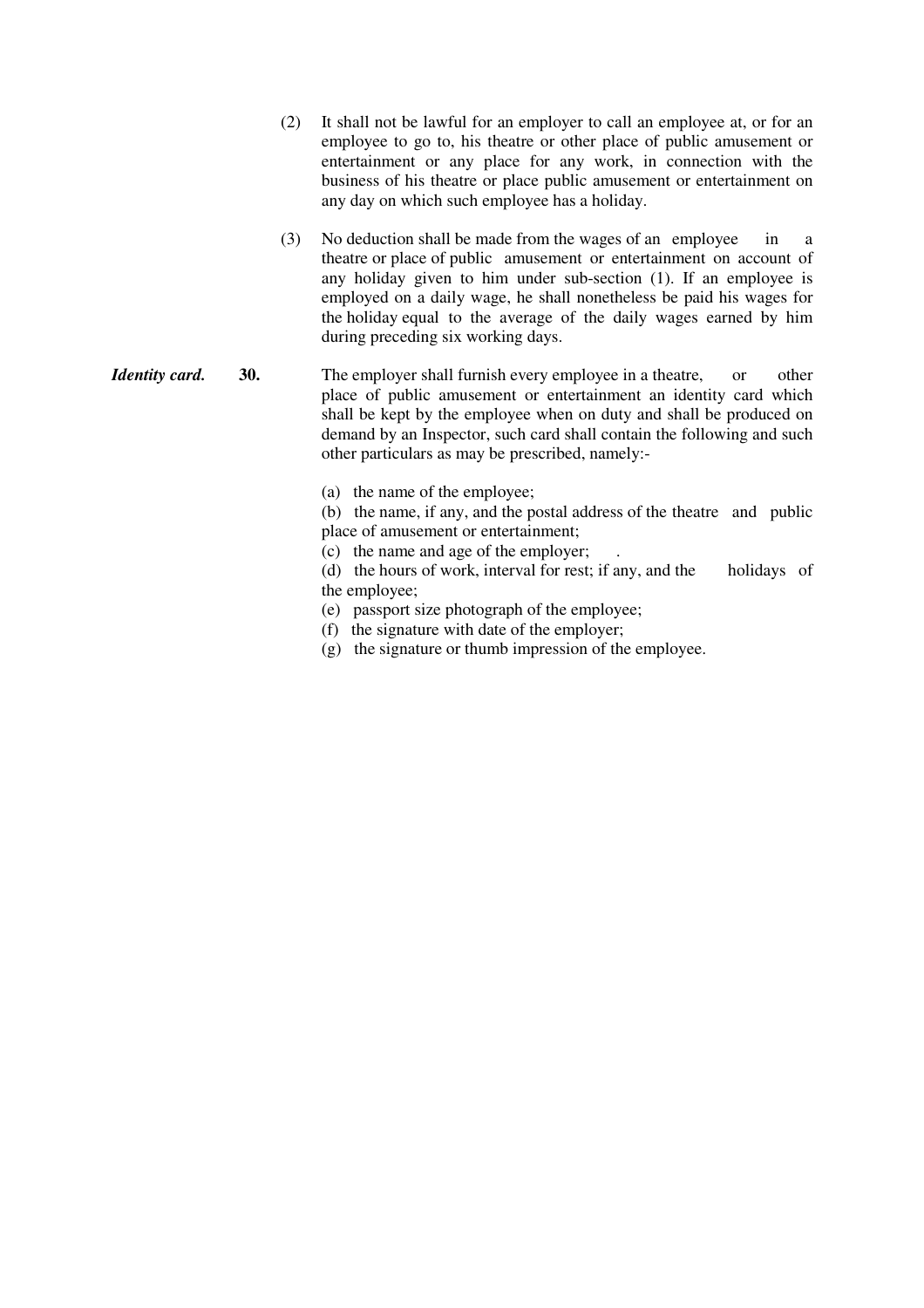| (2) | It shall not be lawful for an employer to call an employee at, or for an |
|-----|--------------------------------------------------------------------------|
|     | employee to go to, his theatre or other place of public amusement or     |
|     | entertainment or any place for any work, in connection with the          |
|     | business of his theatre or place public amusement or entertainment on    |
|     | any day on which such employee has a holiday.                            |

- (3) No deduction shall be made from the wages of an employee in a theatre or place of public amusement or entertainment on account of any holiday given to him under sub-section (1). If an employee is employed on a daily wage, he shall nonetheless be paid his wages for the holiday equal to the average of the daily wages earned by him during preceding six working days.
- *Identity card.* **30.** The employer shall furnish every employee in a theatre, or other place of public amusement or entertainment an identity card which shall be kept by the employee when on duty and shall be produced on demand by an Inspector, such card shall contain the following and such other particulars as may be prescribed, namely:-
	- (a) the name of the employee;

 (b) the name, if any, and the postal address of the theatre and public place of amusement or entertainment;

(c) the name and age of the employer; .

 (d) the hours of work, interval for rest; if any, and the holidays of the employee;

- (e) passport size photograph of the employee;
- (f) the signature with date of the employer;
- (g) the signature or thumb impression of the employee.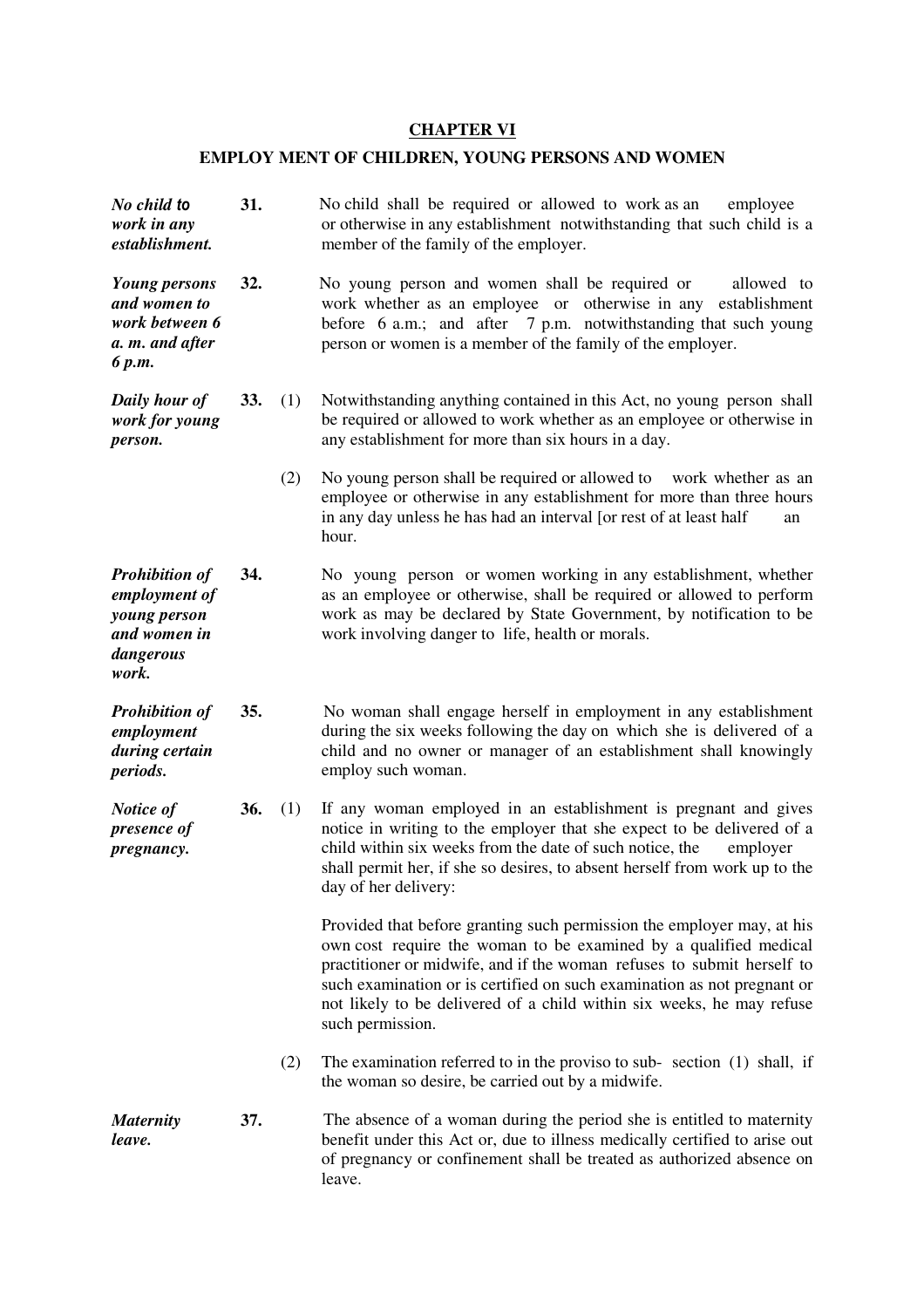## **CHAPTER VI**

# **EMPLOY MENT OF CHILDREN, YOUNG PERSONS AND WOMEN**

| No child to<br>work in any<br>establishment.                                                 | 31. |     | No child shall be required or allowed to work as an<br>employee<br>or otherwise in any establishment notwithstanding that such child is a<br>member of the family of the employer.                                                                                                                                                                                                           |
|----------------------------------------------------------------------------------------------|-----|-----|----------------------------------------------------------------------------------------------------------------------------------------------------------------------------------------------------------------------------------------------------------------------------------------------------------------------------------------------------------------------------------------------|
| <b>Young persons</b><br>and women to<br>work between 6<br>a. m. and after<br>6 p.m.          | 32. |     | No young person and women shall be required or<br>allowed to<br>work whether as an employee or otherwise in any<br>establishment<br>before 6 a.m.; and after 7 p.m. notwithstanding that such young<br>person or women is a member of the family of the employer.                                                                                                                            |
| Daily hour of<br>work for young<br>person.                                                   | 33. | (1) | Notwithstanding anything contained in this Act, no young person shall<br>be required or allowed to work whether as an employee or otherwise in<br>any establishment for more than six hours in a day.                                                                                                                                                                                        |
|                                                                                              |     | (2) | No young person shall be required or allowed to work whether as an<br>employee or otherwise in any establishment for more than three hours<br>in any day unless he has had an interval [or rest of at least half<br>an<br>hour.                                                                                                                                                              |
| <b>Prohibition of</b><br>employment of<br>young person<br>and women in<br>dangerous<br>work. | 34. |     | No young person or women working in any establishment, whether<br>as an employee or otherwise, shall be required or allowed to perform<br>work as may be declared by State Government, by notification to be<br>work involving danger to life, health or morals.                                                                                                                             |
| <b>Prohibition of</b><br>employment<br>during certain<br><i>periods.</i>                     | 35. |     | No woman shall engage herself in employment in any establishment<br>during the six weeks following the day on which she is delivered of a<br>child and no owner or manager of an establishment shall knowingly<br>employ such woman.                                                                                                                                                         |
| Notice of<br>presence of<br>pregnancy.                                                       | 36. | (1) | If any woman employed in an establishment is pregnant and gives<br>notice in writing to the employer that she expect to be delivered of a<br>child within six weeks from the date of such notice, the<br>employer<br>shall permit her, if she so desires, to absent herself from work up to the<br>day of her delivery:                                                                      |
|                                                                                              |     |     | Provided that before granting such permission the employer may, at his<br>own cost require the woman to be examined by a qualified medical<br>practitioner or midwife, and if the woman refuses to submit herself to<br>such examination or is certified on such examination as not pregnant or<br>not likely to be delivered of a child within six weeks, he may refuse<br>such permission. |
|                                                                                              |     | (2) | The examination referred to in the proviso to sub- section (1) shall, if<br>the woman so desire, be carried out by a midwife.                                                                                                                                                                                                                                                                |
| <b>Maternity</b><br>leave.                                                                   | 37. |     | The absence of a woman during the period she is entitled to maternity<br>benefit under this Act or, due to illness medically certified to arise out<br>of pregnancy or confinement shall be treated as authorized absence on<br>leave.                                                                                                                                                       |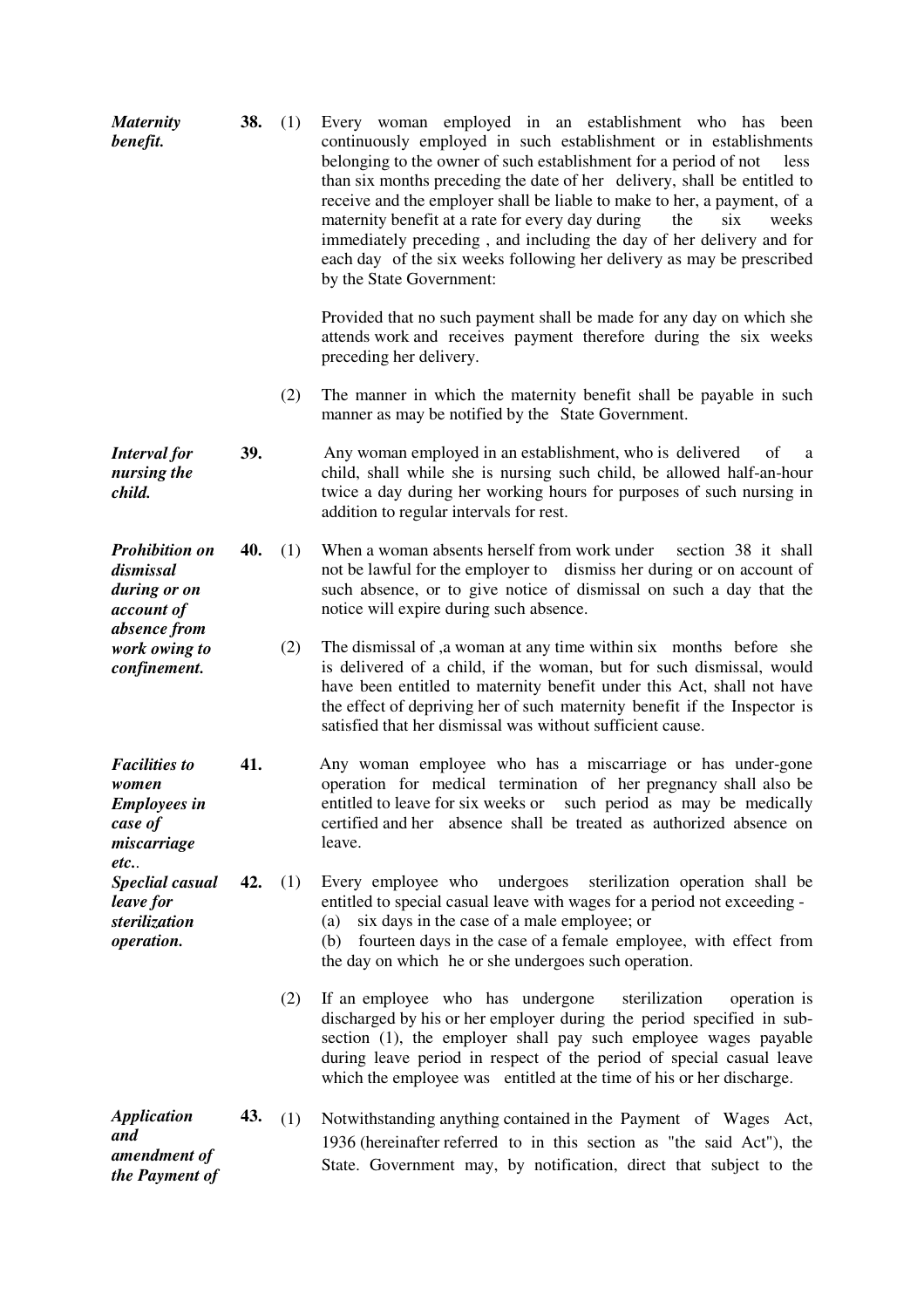| <b>Maternity</b><br>benefit.                                                          | 38. | (1) | Every woman employed in an establishment who has been<br>continuously employed in such establishment or in establishments<br>belonging to the owner of such establishment for a period of not<br>less<br>than six months preceding the date of her delivery, shall be entitled to<br>receive and the employer shall be liable to make to her, a payment, of a<br>maternity benefit at a rate for every day during<br>the<br>six<br>weeks<br>immediately preceding, and including the day of her delivery and for<br>each day of the six weeks following her delivery as may be prescribed<br>by the State Government: |
|---------------------------------------------------------------------------------------|-----|-----|-----------------------------------------------------------------------------------------------------------------------------------------------------------------------------------------------------------------------------------------------------------------------------------------------------------------------------------------------------------------------------------------------------------------------------------------------------------------------------------------------------------------------------------------------------------------------------------------------------------------------|
|                                                                                       |     |     | Provided that no such payment shall be made for any day on which she<br>attends work and receives payment therefore during the six weeks<br>preceding her delivery.                                                                                                                                                                                                                                                                                                                                                                                                                                                   |
|                                                                                       |     | (2) | The manner in which the maternity benefit shall be payable in such<br>manner as may be notified by the State Government.                                                                                                                                                                                                                                                                                                                                                                                                                                                                                              |
| <b>Interval</b> for<br>nursing the<br>child.                                          | 39. |     | Any woman employed in an establishment, who is delivered<br>of<br>a<br>child, shall while she is nursing such child, be allowed half-an-hour<br>twice a day during her working hours for purposes of such nursing in<br>addition to regular intervals for rest.                                                                                                                                                                                                                                                                                                                                                       |
| <b>Prohibition on</b><br>dismissal<br>during or on<br>account of<br>absence from      | 40. | (1) | When a woman absents herself from work under<br>section 38 it shall<br>not be lawful for the employer to dismiss her during or on account of<br>such absence, or to give notice of dismissal on such a day that the<br>notice will expire during such absence.                                                                                                                                                                                                                                                                                                                                                        |
| work owing to<br>confinement.                                                         |     | (2) | The dismissal of ,a woman at any time within six months before she<br>is delivered of a child, if the woman, but for such dismissal, would<br>have been entitled to maternity benefit under this Act, shall not have<br>the effect of depriving her of such maternity benefit if the Inspector is<br>satisfied that her dismissal was without sufficient cause.                                                                                                                                                                                                                                                       |
| <b>Facilities to</b><br>women<br><b>Employees in</b><br>case of<br>miscarriage<br>etc | 41. |     | Any woman employee who has a miscarriage or has under-gone<br>operation for medical termination of her pregnancy shall also be<br>entitled to leave for six weeks or such period as may be medically<br>certified and her absence shall be treated as authorized absence on<br>leave.                                                                                                                                                                                                                                                                                                                                 |
| Speclial casual<br>leave for<br>sterilization<br>operation.                           | 42. | (1) | Every employee who undergoes sterilization operation shall be<br>entitled to special casual leave with wages for a period not exceeding -<br>six days in the case of a male employee; or<br>(a)<br>fourteen days in the case of a female employee, with effect from<br>(b)<br>the day on which he or she undergoes such operation.                                                                                                                                                                                                                                                                                    |
|                                                                                       |     | (2) | If an employee who has undergone<br>sterilization<br>operation is<br>discharged by his or her employer during the period specified in sub-<br>section (1), the employer shall pay such employee wages payable<br>during leave period in respect of the period of special casual leave<br>which the employee was entitled at the time of his or her discharge.                                                                                                                                                                                                                                                         |
| <b>Application</b><br>and<br>amendment of<br>the Payment of                           | 43. | (1) | Notwithstanding anything contained in the Payment of Wages Act,<br>1936 (hereinafter referred to in this section as "the said Act"), the<br>State. Government may, by notification, direct that subject to the                                                                                                                                                                                                                                                                                                                                                                                                        |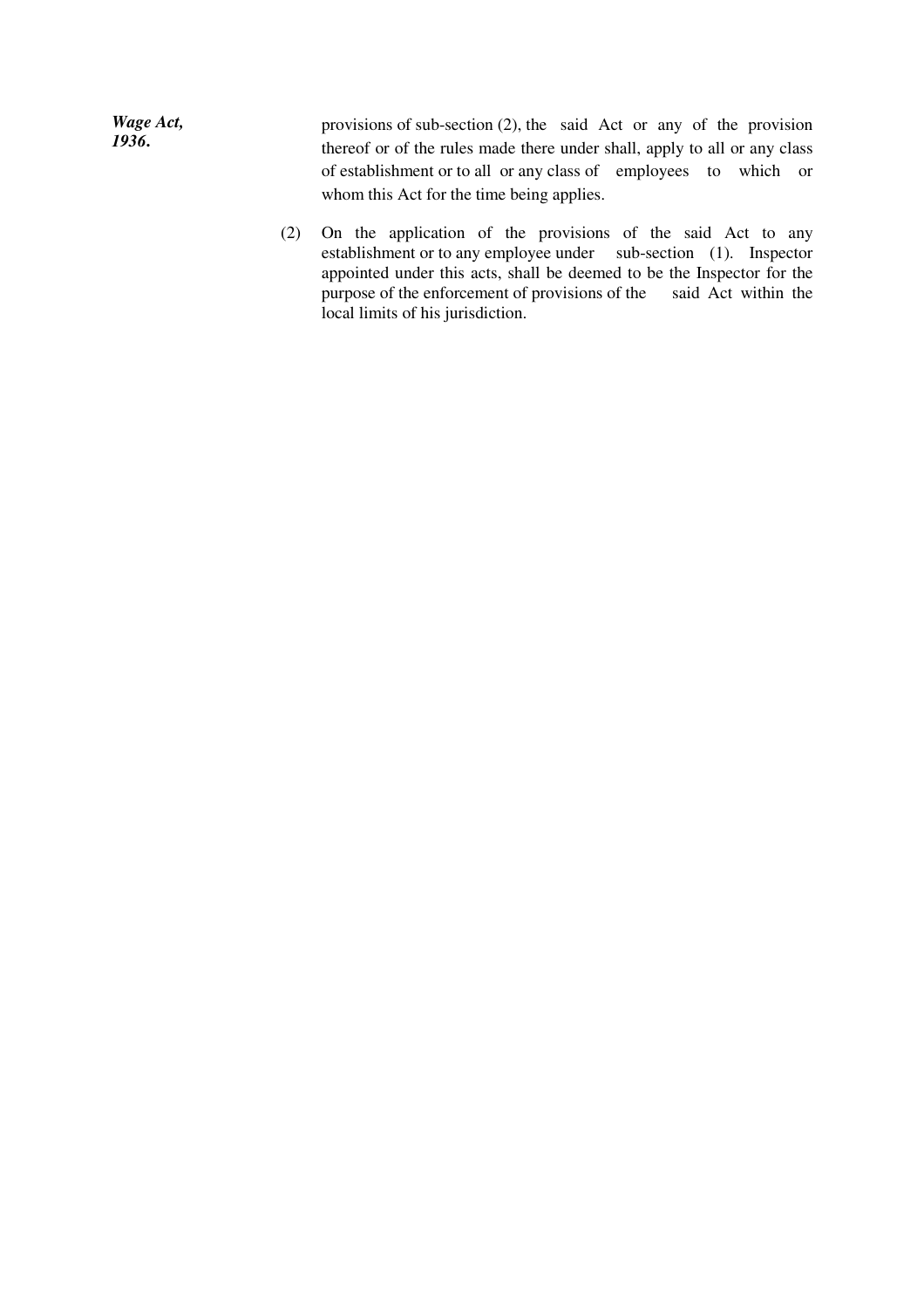| Wage Act, | provisions of sub-section $(2)$ , the said Act or any of the provision    |
|-----------|---------------------------------------------------------------------------|
| 1936.     | thereof or of the rules made there under shall, apply to all or any class |
|           | of establishment or to all or any class of employees to which or          |
|           | whom this Act for the time being applies.                                 |

(2) On the application of the provisions of the said Act to any establishment or to any employee under sub-section (1). Inspector appointed under this acts, shall be deemed to be the Inspector for the purpose of the enforcement of provisions of the said Act within the local limits of his jurisdiction.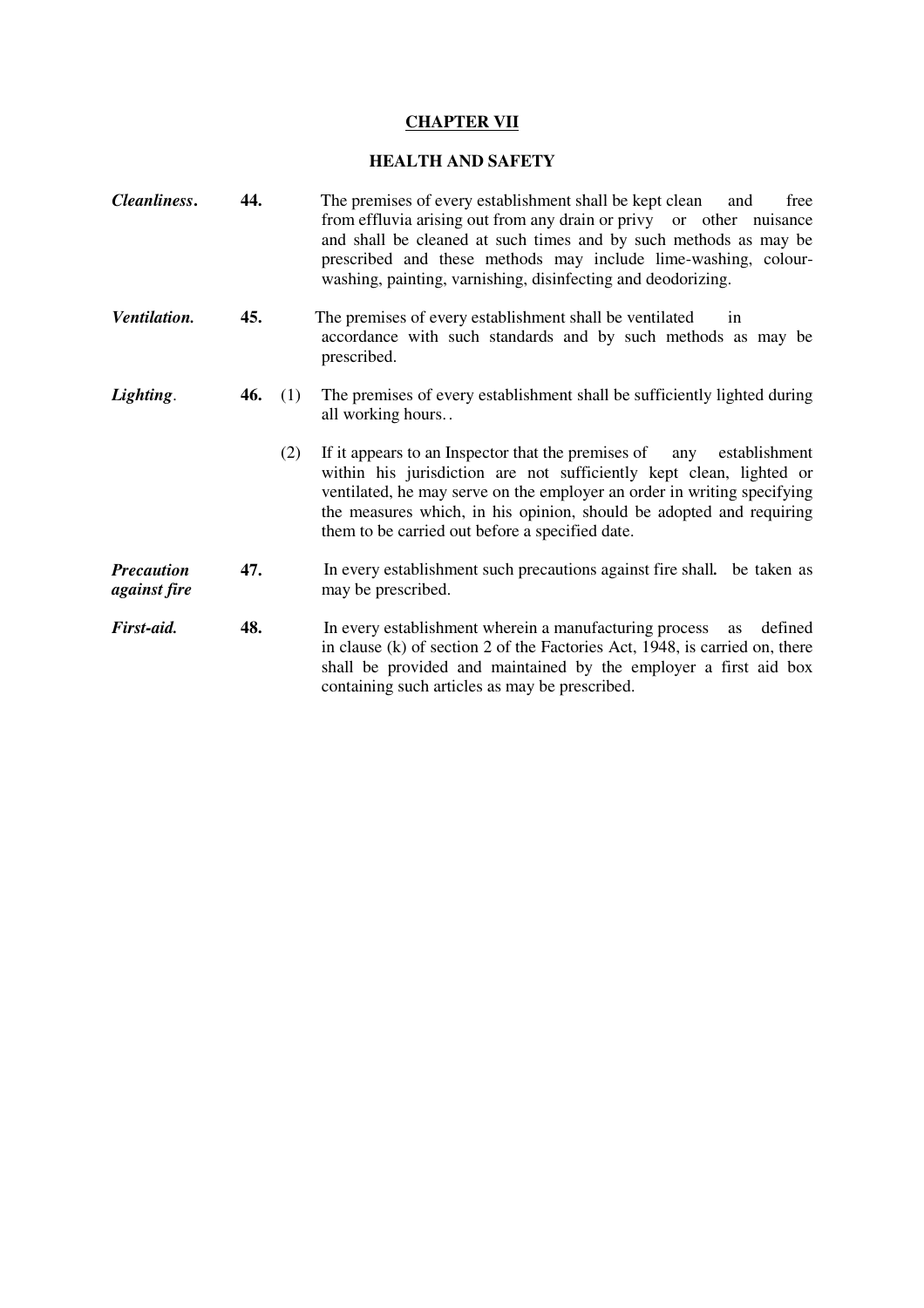# **CHAPTER VII**

## **HEALTH AND SAFETY**

| Cleanliness.                             | 44. |     | The premises of every establishment shall be kept clean<br>free<br>and<br>from effluvia arising out from any drain or privy or other nuisance<br>and shall be cleaned at such times and by such methods as may be<br>prescribed and these methods may include lime-washing, colour-<br>washing, painting, varnishing, disinfecting and deodorizing. |
|------------------------------------------|-----|-----|-----------------------------------------------------------------------------------------------------------------------------------------------------------------------------------------------------------------------------------------------------------------------------------------------------------------------------------------------------|
| Ventilation.                             | 45. |     | The premises of every establishment shall be ventilated<br>in<br>accordance with such standards and by such methods as may be<br>prescribed.                                                                                                                                                                                                        |
| Lighting.                                | 46. | (1) | The premises of every establishment shall be sufficiently lighted during<br>all working hours                                                                                                                                                                                                                                                       |
|                                          |     | (2) | If it appears to an Inspector that the premises of any establishment<br>within his jurisdiction are not sufficiently kept clean, lighted or<br>ventilated, he may serve on the employer an order in writing specifying<br>the measures which, in his opinion, should be adopted and requiring<br>them to be carried out before a specified date.    |
| <b>Precaution</b><br><i>against fire</i> | 47. |     | In every establishment such precautions against fire shall. be taken as<br>may be prescribed.                                                                                                                                                                                                                                                       |
| First-aid.                               | 48. |     | In every establishment wherein a manufacturing process<br>defined<br>as<br>in clause (k) of section 2 of the Factories Act, 1948, is carried on, there<br>shall be provided and maintained by the employer a first aid box<br>containing such articles as may be prescribed.                                                                        |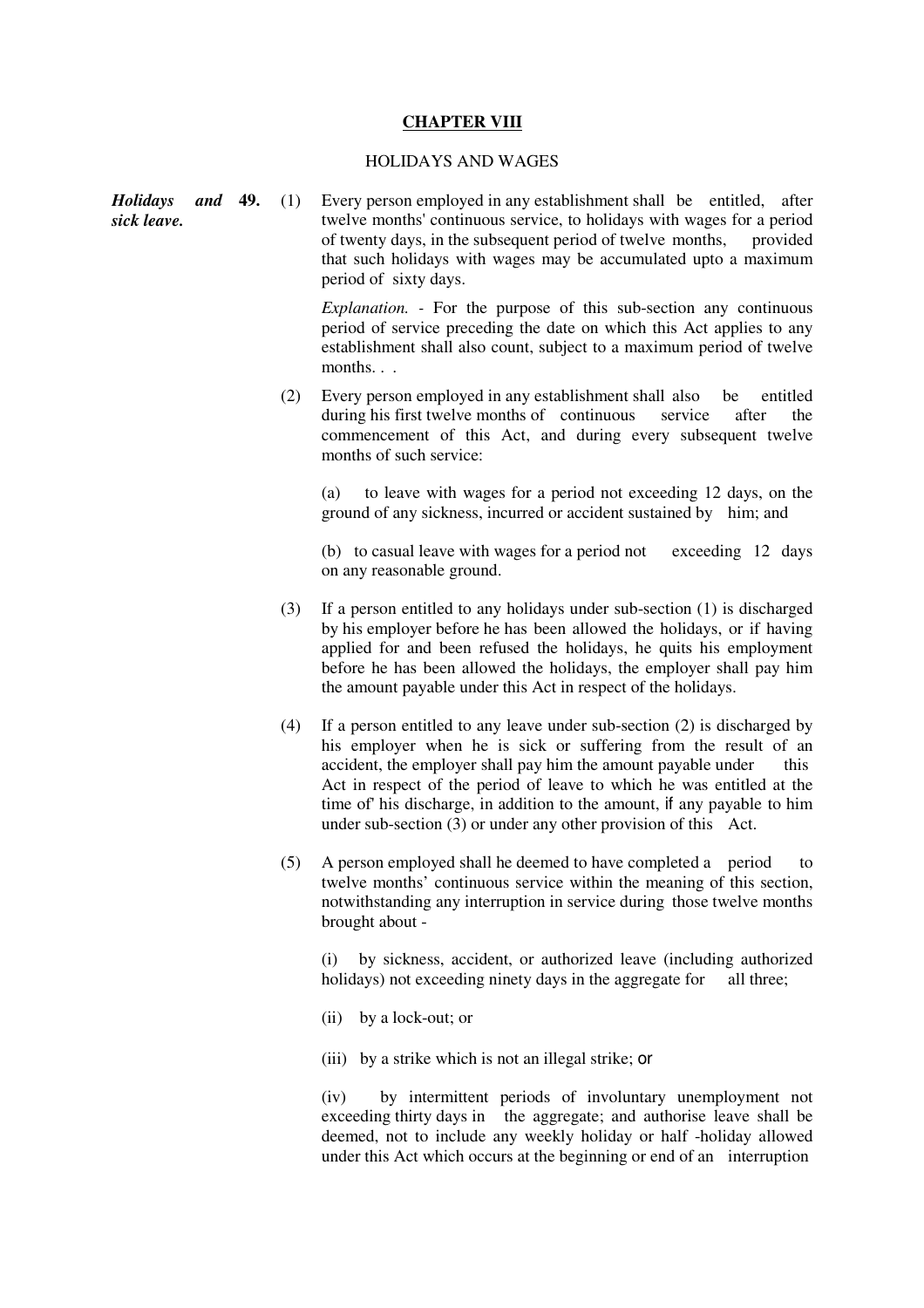## **CHAPTER VIII**

## HOLIDAYS AND WAGES

|             |  | <b>Holidays and 49.</b> (1) Every person employed in any establishment shall be entitled, after |
|-------------|--|-------------------------------------------------------------------------------------------------|
| sick leave. |  | twelve months' continuous service, to holidays with wages for a period                          |
|             |  | of twenty days, in the subsequent period of twelve months, provided                             |
|             |  | that such holidays with wages may be accumulated upto a maximum                                 |
|             |  | period of sixty days.                                                                           |

 *Explanation. -* For the purpose of this sub-section any continuous period of service preceding the date on which this Act applies to any establishment shall also count, subject to a maximum period of twelve months. . .

(2) Every person employed in any establishment shall also be entitled during his first twelve months of continuous service after the commencement of this Act, and during every subsequent twelve months of such service:

 (a) to leave with wages for a period not exceeding 12 days, on the ground of any sickness, incurred or accident sustained by him; and

 (b) to casual leave with wages for a period not exceeding 12 days on any reasonable ground.

- (3) If a person entitled to any holidays under sub-section (1) is discharged by his employer before he has been allowed the holidays, or if having applied for and been refused the holidays, he quits his employment before he has been allowed the holidays, the employer shall pay him the amount payable under this Act in respect of the holidays.
- (4) If a person entitled to any leave under sub-section (2) is discharged by his employer when he is sick or suffering from the result of an accident, the employer shall pay him the amount payable under this Act in respect of the period of leave to which he was entitled at the time of' his discharge, in addition to the amount, if any payable to him under sub-section (3) or under any other provision of this Act.
- (5) A person employed shall he deemed to have completed a period to twelve months' continuous service within the meaning of this section, notwithstanding any interruption in service during those twelve months brought about -

 (i) by sickness, accident, or authorized leave (including authorized holidays) not exceeding ninety days in the aggregate for all three;

- (ii) by a lock-out; or
- (iii) by a strike which is not an illegal strike; or

 (iv) by intermittent periods of involuntary unemployment not exceeding thirty days in the aggregate; and authorise leave shall be deemed, not to include any weekly holiday or half -holiday allowed under this Act which occurs at the beginning or end of an interruption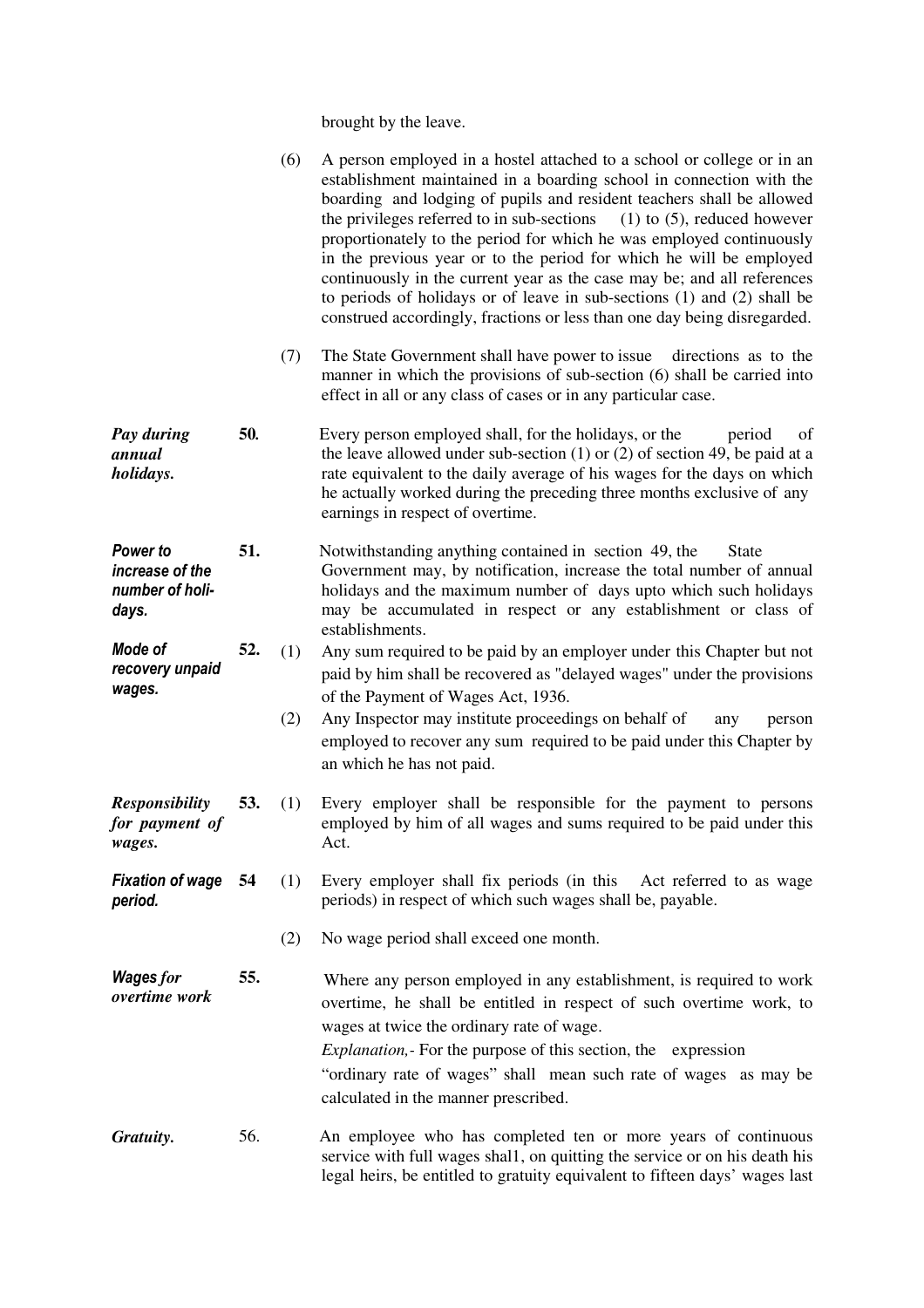brought by the leave.

|                                                         |     | (6)        | A person employed in a hostel attached to a school or college or in an<br>establishment maintained in a boarding school in connection with the<br>boarding and lodging of pupils and resident teachers shall be allowed<br>the privileges referred to in sub-sections<br>$(1)$ to $(5)$ , reduced however<br>proportionately to the period for which he was employed continuously<br>in the previous year or to the period for which he will be employed<br>continuously in the current year as the case may be; and all references<br>to periods of holidays or of leave in sub-sections $(1)$ and $(2)$ shall be<br>construed accordingly, fractions or less than one day being disregarded. |
|---------------------------------------------------------|-----|------------|------------------------------------------------------------------------------------------------------------------------------------------------------------------------------------------------------------------------------------------------------------------------------------------------------------------------------------------------------------------------------------------------------------------------------------------------------------------------------------------------------------------------------------------------------------------------------------------------------------------------------------------------------------------------------------------------|
|                                                         |     | (7)        | The State Government shall have power to issue directions as to the<br>manner in which the provisions of sub-section (6) shall be carried into<br>effect in all or any class of cases or in any particular case.                                                                                                                                                                                                                                                                                                                                                                                                                                                                               |
| Pay during<br>annual<br>holidays.                       | 50. |            | Every person employed shall, for the holidays, or the<br>period<br>of<br>the leave allowed under sub-section $(1)$ or $(2)$ of section 49, be paid at a<br>rate equivalent to the daily average of his wages for the days on which<br>he actually worked during the preceding three months exclusive of any<br>earnings in respect of overtime.                                                                                                                                                                                                                                                                                                                                                |
| Power to<br>increase of the<br>number of holi-<br>days. | 51. |            | Notwithstanding anything contained in section 49, the<br><b>State</b><br>Government may, by notification, increase the total number of annual<br>holidays and the maximum number of days upto which such holidays<br>may be accumulated in respect or any establishment or class of<br>establishments.                                                                                                                                                                                                                                                                                                                                                                                         |
| Mode of<br>recovery unpaid<br>wages.                    | 52. | (1)<br>(2) | Any sum required to be paid by an employer under this Chapter but not<br>paid by him shall be recovered as "delayed wages" under the provisions<br>of the Payment of Wages Act, 1936.<br>Any Inspector may institute proceedings on behalf of<br>person<br>any<br>employed to recover any sum required to be paid under this Chapter by<br>an which he has not paid.                                                                                                                                                                                                                                                                                                                           |
| <b>Responsibility</b><br>for payment of<br>wages.       | 53. | (1)        | Every employer shall be responsible for the payment to persons<br>employed by him of all wages and sums required to be paid under this<br>Act.                                                                                                                                                                                                                                                                                                                                                                                                                                                                                                                                                 |
| <b>Fixation of wage</b> 54<br>period.                   |     | (1)        | Every employer shall fix periods (in this<br>Act referred to as wage<br>periods) in respect of which such wages shall be, payable.                                                                                                                                                                                                                                                                                                                                                                                                                                                                                                                                                             |
|                                                         |     | (2)        | No wage period shall exceed one month.                                                                                                                                                                                                                                                                                                                                                                                                                                                                                                                                                                                                                                                         |
| Wages for<br>overtime work                              | 55. |            | Where any person employed in any establishment, is required to work<br>overtime, he shall be entitled in respect of such overtime work, to<br>wages at twice the ordinary rate of wage.<br><i>Explanation,</i> For the purpose of this section, the expression<br>"ordinary rate of wages" shall mean such rate of wages as may be<br>calculated in the manner prescribed.                                                                                                                                                                                                                                                                                                                     |
| Gratuity.                                               | 56. |            | An employee who has completed ten or more years of continuous<br>service with full wages shall, on quitting the service or on his death his<br>legal heirs, be entitled to gratuity equivalent to fifteen days' wages last                                                                                                                                                                                                                                                                                                                                                                                                                                                                     |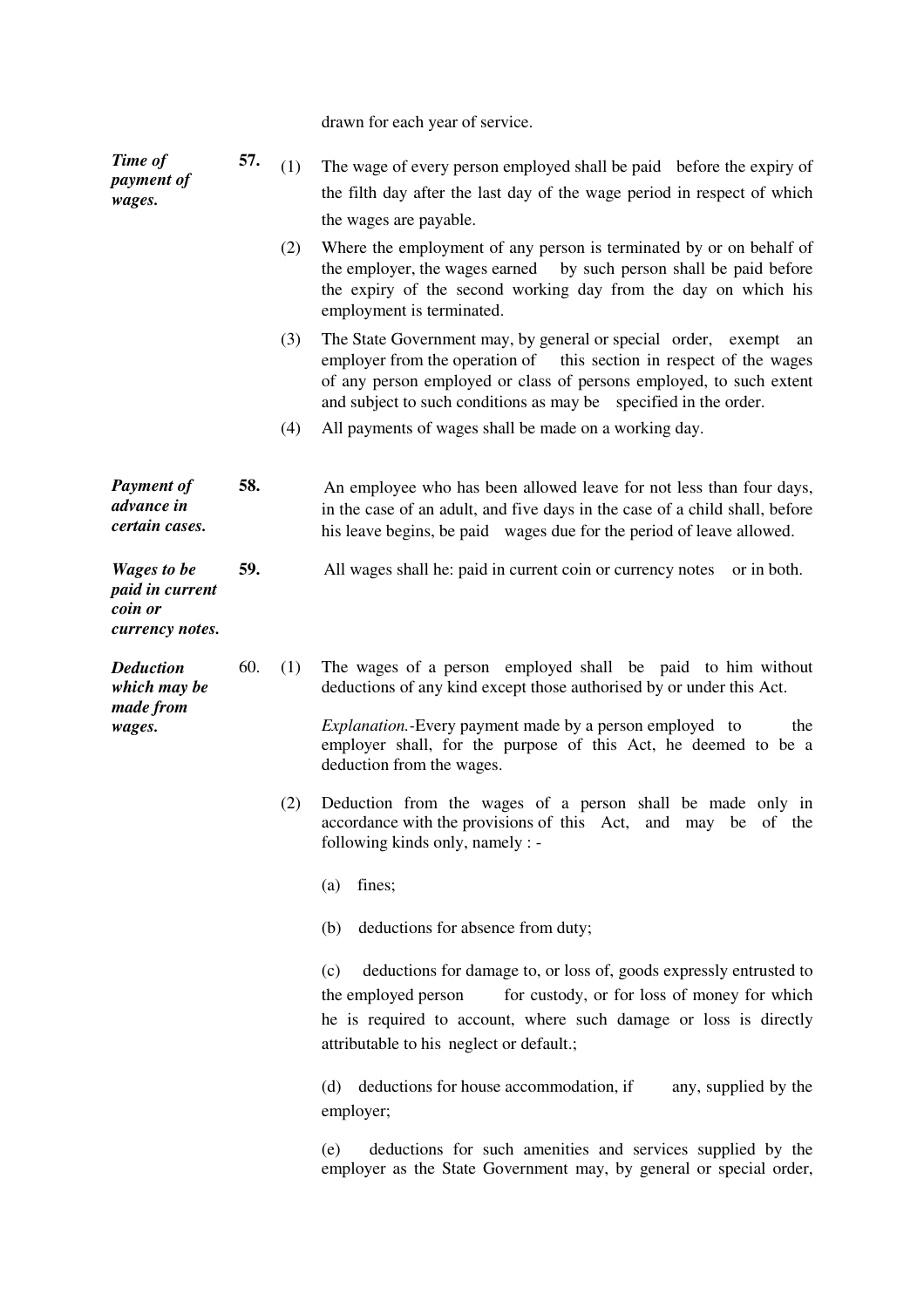|  |  |  |  |  | drawn for each year of service. |
|--|--|--|--|--|---------------------------------|
|--|--|--|--|--|---------------------------------|

| Time of<br>payment of<br>wages.                                     | 57. | (1)<br>(2) | The wage of every person employed shall be paid before the expiry of<br>the filth day after the last day of the wage period in respect of which<br>the wages are payable.<br>Where the employment of any person is terminated by or on behalf of<br>the employer, the wages earned by such person shall be paid before<br>the expiry of the second working day from the day on which his                                                                                                                                                     |
|---------------------------------------------------------------------|-----|------------|----------------------------------------------------------------------------------------------------------------------------------------------------------------------------------------------------------------------------------------------------------------------------------------------------------------------------------------------------------------------------------------------------------------------------------------------------------------------------------------------------------------------------------------------|
|                                                                     |     | (3)<br>(4) | employment is terminated.<br>The State Government may, by general or special order, exempt<br>an<br>employer from the operation of this section in respect of the wages<br>of any person employed or class of persons employed, to such extent<br>and subject to such conditions as may be specified in the order.<br>All payments of wages shall be made on a working day.                                                                                                                                                                  |
| <b>Payment of</b><br>advance in<br>certain cases.                   | 58. |            | An employee who has been allowed leave for not less than four days,<br>in the case of an adult, and five days in the case of a child shall, before<br>his leave begins, be paid wages due for the period of leave allowed.                                                                                                                                                                                                                                                                                                                   |
| <b>Wages to be</b><br>paid in current<br>coin or<br>currency notes. | 59. |            | All wages shall he: paid in current coin or currency notes<br>or in both.                                                                                                                                                                                                                                                                                                                                                                                                                                                                    |
| <b>Deduction</b><br>which may be<br>made from<br>wages.             | 60. | (1)<br>(2) | The wages of a person employed shall be paid to him without<br>deductions of any kind except those authorised by or under this Act.<br><i>Explanation</i> .-Every payment made by a person employed to<br>the<br>employer shall, for the purpose of this Act, he deemed to be a<br>deduction from the wages.<br>Deduction from the wages of a person shall be made only in<br>accordance with the provisions of this Act, and may be of the<br>following kinds only, namely : -<br>fines;<br>(a)<br>deductions for absence from duty;<br>(b) |
|                                                                     |     |            | deductions for damage to, or loss of, goods expressly entrusted to<br>(c)<br>for custody, or for loss of money for which<br>the employed person<br>he is required to account, where such damage or loss is directly<br>attributable to his neglect or default.;<br>deductions for house accommodation, if<br>(d)<br>any, supplied by the<br>employer;<br>deductions for such amenities and services supplied by the<br>(e)<br>employer as the State Government may, by general or special order,                                             |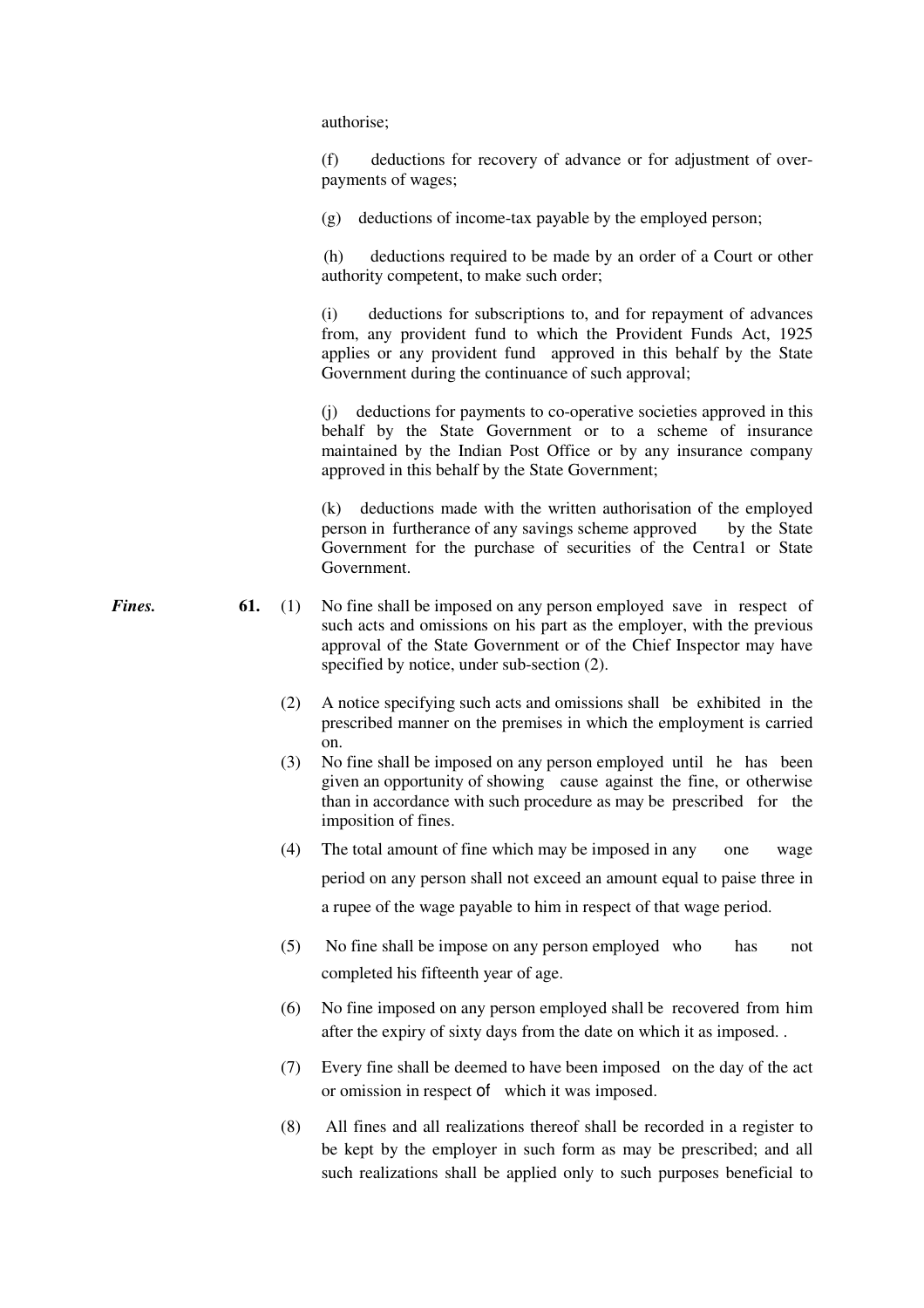authorise;

 (f) deductions for recovery of advance or for adjustment of overpayments of wages;

(g) deductions of income-tax payable by the employed person;

 (h) deductions required to be made by an order of a Court or other authority competent, to make such order;

 (i) deductions for subscriptions to, and for repayment of advances from, any provident fund to which the Provident Funds Act, 1925 applies or any provident fund approved in this behalf by the State Government during the continuance of such approval;

 (j) deductions for payments to co-operative societies approved in this behalf by the State Government or to a scheme of insurance maintained by the Indian Post Office or by any insurance company approved in this behalf by the State Government;

 (k) deductions made with the written authorisation of the employed person in furtherance of any savings scheme approved by the State Government for the purchase of securities of the Centra1 or State Government.

- **Fines.** 61. (1) No fine shall be imposed on any person employed save in respect of such acts and omissions on his part as the employer, with the previous approval of the State Government or of the Chief Inspector may have specified by notice, under sub-section (2).
	- (2) A notice specifying such acts and omissions shall be exhibited in the prescribed manner on the premises in which the employment is carried on.
	- (3) No fine shall be imposed on any person employed until he has been given an opportunity of showing cause against the fine, or otherwise than in accordance with such procedure as may be prescribed for the imposition of fines.
	- (4) The total amount of fine which may be imposed in any one wage period on any person shall not exceed an amount equal to paise three in a rupee of the wage payable to him in respect of that wage period.
	- (5) No fine shall be impose on any person employed who has not completed his fifteenth year of age.
	- (6) No fine imposed on any person employed shall be recovered from him after the expiry of sixty days from the date on which it as imposed. .
	- (7) Every fine shall be deemed to have been imposed on the day of the act or omission in respect of which it was imposed.
	- (8) All fines and all realizations thereof shall be recorded in a register to be kept by the employer in such form as may be prescribed; and all such realizations shall be applied only to such purposes beneficial to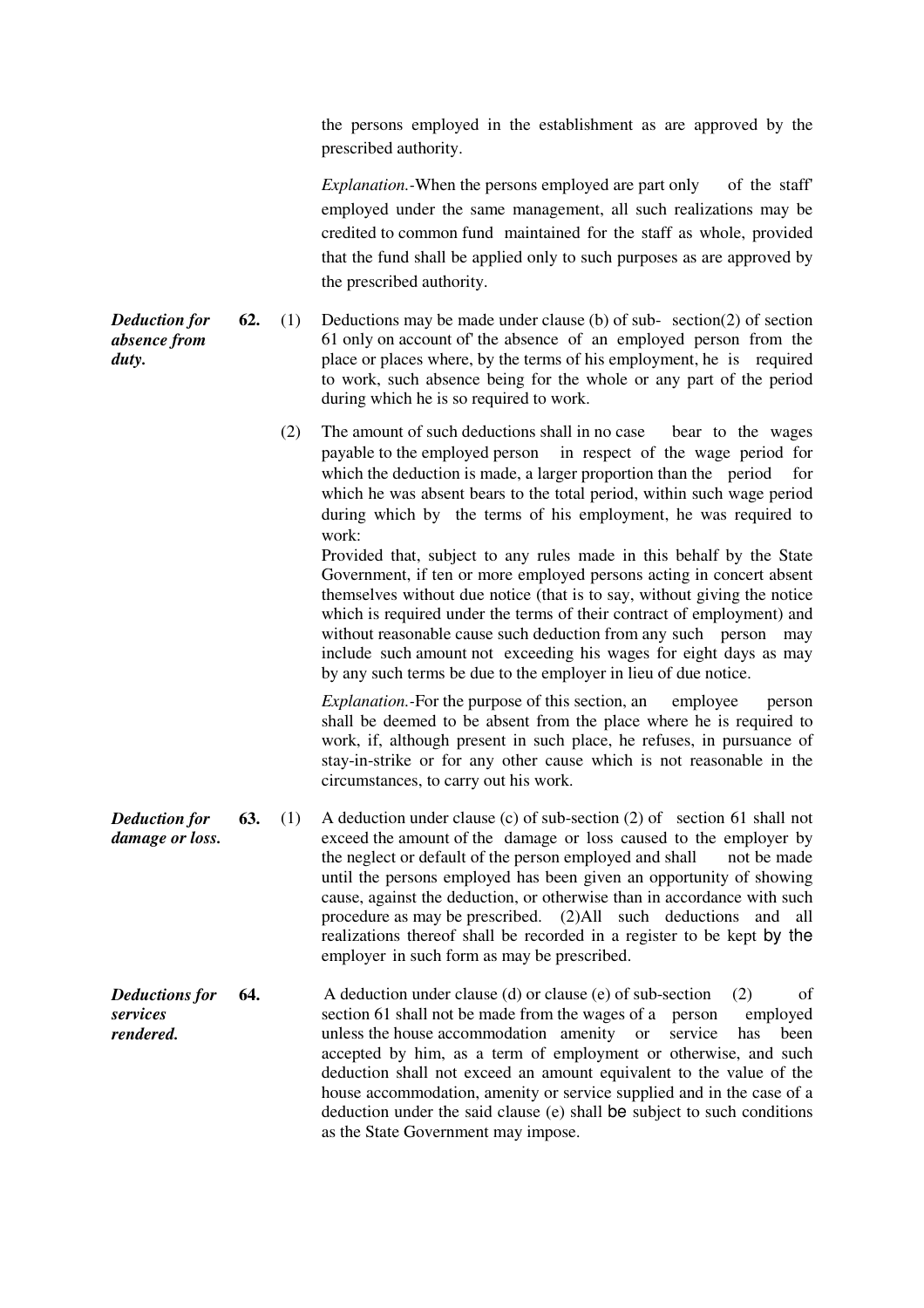the persons employed in the establishment as are approved by the prescribed authority.

*Explanation.*-When the persons employed are part only of the staff' employed under the same management, all such realizations may be credited to common fund maintained for the staff as whole, provided that the fund shall be applied only to such purposes as are approved by the prescribed authority.

**62.** (1) Deductions may be made under clause (b) of sub- section(2) of section 61 only on account of' the absence of an employed person from the place or places where, by the terms of his employment, he is required to work, such absence being for the whole or any part of the period during which he is so required to work.

> (2) The amount of such deductions shall in no case bear to the wages payable to the employed person in respect of the wage period for which the deduction is made, a larger proportion than the period for which he was absent bears to the total period, within such wage period during which by the terms of his employment, he was required to work:

 Provided that, subject to any rules made in this behalf by the State Government, if ten or more employed persons acting in concert absent themselves without due notice (that is to say, without giving the notice which is required under the terms of their contract of employment) and without reasonable cause such deduction from any such person may include such amount not exceeding his wages for eight days as may by any such terms be due to the employer in lieu of due notice.

*Explanation.*-For the purpose of this section, an employee person shall be deemed to be absent from the place where he is required to work, if, although present in such place, he refuses, in pursuance of stay-in-strike or for any other cause which is not reasonable in the circumstances, to carry out his work.

- *Deduction for damage or loss.* **63.** (1) A deduction under clause (c) of sub-section (2) ofsection 61 shall not exceed the amount of the damage or loss caused to the employer by the neglect or default of the person employed and shall not be made until the persons employed has been given an opportunity of showing cause, against the deduction, or otherwise than in accordance with such procedure as may be prescribed. (2)All such deductions and all realizations thereof shall be recorded in a register to be kept by the employer in such form as may be prescribed.
- *Deductions for services rendered.*  **64.** A deduction under clause (d) or clause (e) of sub-section (2) of section 61 shall not be made from the wages of a person employed section 61 shall not be made from the wages of a person unless the house accommodation amenity or service has been accepted by him, as a term of employment or otherwise, and such deduction shall not exceed an amount equivalent to the value of the house accommodation, amenity or service supplied and in the case of a deduction under the said clause (e) shall be subject to such conditions as the State Government may impose.

*Deduction for absence from duty.*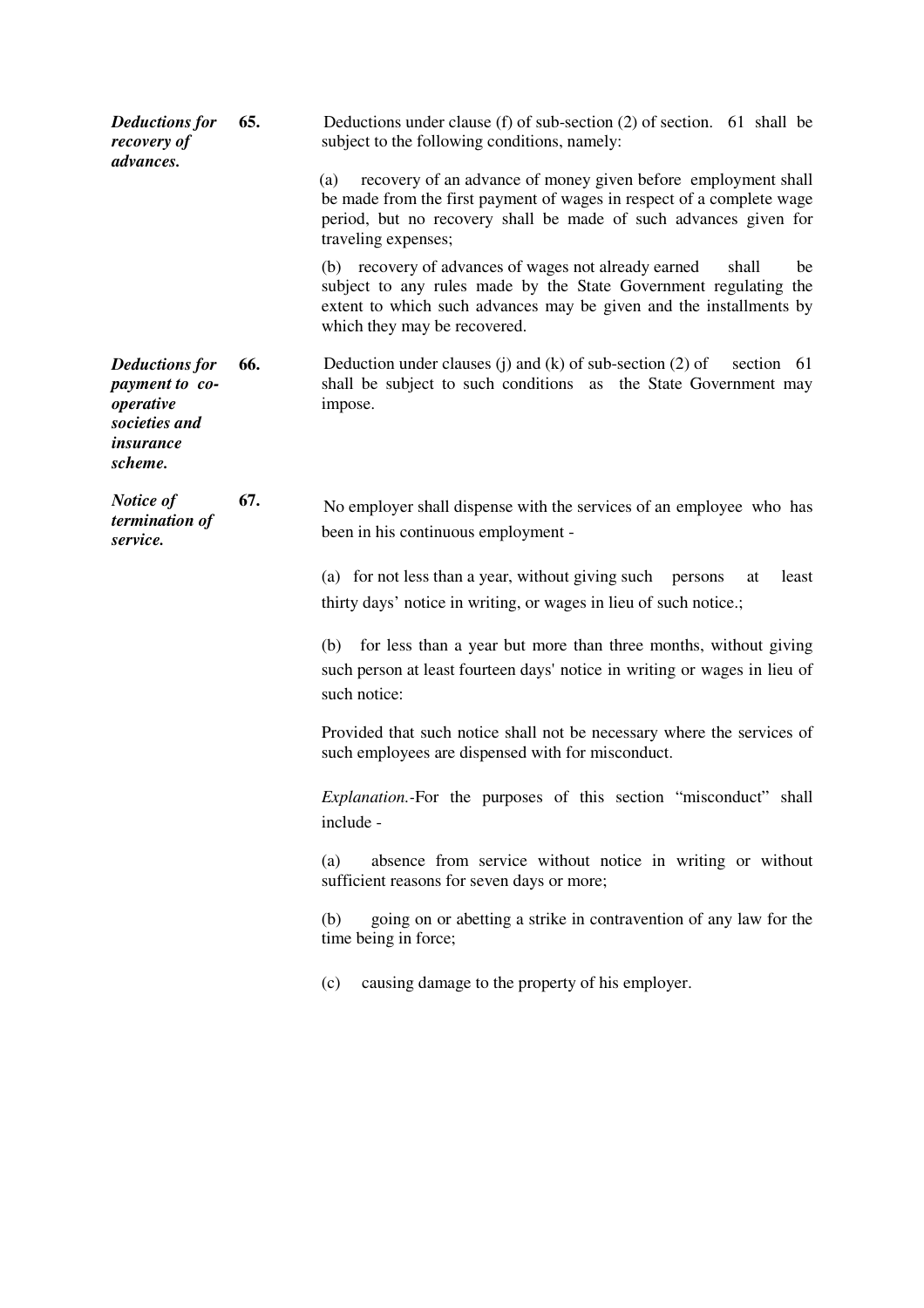| <b>Deductions for</b><br>recovery of<br>advances.                                                    | 65. | Deductions under clause (f) of sub-section $(2)$ of section. 61 shall be<br>subject to the following conditions, namely:                                                                                                                      |
|------------------------------------------------------------------------------------------------------|-----|-----------------------------------------------------------------------------------------------------------------------------------------------------------------------------------------------------------------------------------------------|
|                                                                                                      |     | recovery of an advance of money given before employment shall<br>(a)<br>be made from the first payment of wages in respect of a complete wage<br>period, but no recovery shall be made of such advances given for<br>traveling expenses;      |
|                                                                                                      |     | (b) recovery of advances of wages not already earned<br>shall<br>be<br>subject to any rules made by the State Government regulating the<br>extent to which such advances may be given and the installments by<br>which they may be recovered. |
| <b>Deductions for</b><br>payment to co-<br>operative<br>societies and<br><i>insurance</i><br>scheme. | 66. | Deduction under clauses (j) and (k) of sub-section $(2)$ of<br>section 61<br>shall be subject to such conditions as the State Government may<br>impose.                                                                                       |
| Notice of<br>termination of<br>service.                                                              | 67. | No employer shall dispense with the services of an employee who has<br>been in his continuous employment -                                                                                                                                    |
|                                                                                                      |     | (a) for not less than a year, without giving such persons<br>least<br>at<br>thirty days' notice in writing, or wages in lieu of such notice.;                                                                                                 |
|                                                                                                      |     | for less than a year but more than three months, without giving<br>(b)<br>such person at least fourteen days' notice in writing or wages in lieu of<br>such notice:                                                                           |
|                                                                                                      |     | Provided that such notice shall not be necessary where the services of<br>such employees are dispensed with for misconduct.                                                                                                                   |
|                                                                                                      |     | Explanation.-For the purposes of this section "misconduct" shall<br>include -                                                                                                                                                                 |
|                                                                                                      |     | absence from service without notice in writing or without<br>(a)<br>sufficient reasons for seven days or more;                                                                                                                                |
|                                                                                                      |     | going on or abetting a strike in contravention of any law for the<br>(b)<br>time being in force;                                                                                                                                              |
|                                                                                                      |     | causing damage to the property of his employer.<br>(c)                                                                                                                                                                                        |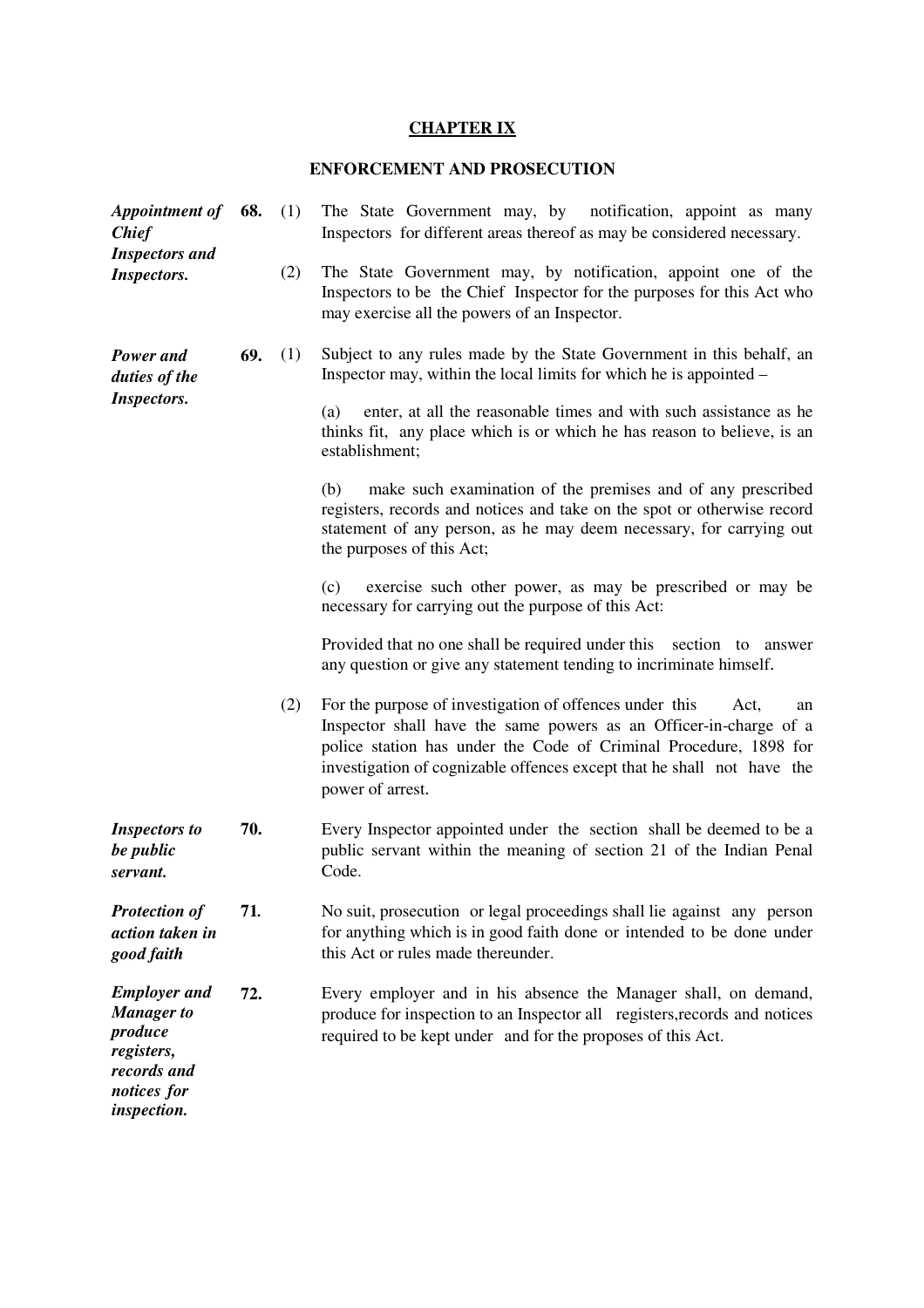## **CHAPTER IX**

# **ENFORCEMENT AND PROSECUTION**

| <b>Appointment of</b><br><b>Chief</b><br><b>Inspectors</b> and<br><b>Inspectors.</b>                                  | 68. | (1) | The State Government may, by notification, appoint as many<br>Inspectors for different areas thereof as may be considered necessary.                                                                                                                                                                          |
|-----------------------------------------------------------------------------------------------------------------------|-----|-----|---------------------------------------------------------------------------------------------------------------------------------------------------------------------------------------------------------------------------------------------------------------------------------------------------------------|
|                                                                                                                       |     | (2) | The State Government may, by notification, appoint one of the<br>Inspectors to be the Chief Inspector for the purposes for this Act who<br>may exercise all the powers of an Inspector.                                                                                                                       |
| Power and<br>duties of the<br><b>Inspectors.</b>                                                                      | 69. | (1) | Subject to any rules made by the State Government in this behalf, an<br>Inspector may, within the local limits for which he is appointed –                                                                                                                                                                    |
|                                                                                                                       |     |     | enter, at all the reasonable times and with such assistance as he<br>(a)<br>thinks fit, any place which is or which he has reason to believe, is an<br>establishment;                                                                                                                                         |
|                                                                                                                       |     |     | make such examination of the premises and of any prescribed<br>(b)<br>registers, records and notices and take on the spot or otherwise record<br>statement of any person, as he may deem necessary, for carrying out<br>the purposes of this Act;                                                             |
|                                                                                                                       |     |     | exercise such other power, as may be prescribed or may be<br>(c)<br>necessary for carrying out the purpose of this Act:                                                                                                                                                                                       |
|                                                                                                                       |     |     | Provided that no one shall be required under this section to answer<br>any question or give any statement tending to incriminate himself.                                                                                                                                                                     |
|                                                                                                                       |     | (2) | For the purpose of investigation of offences under this<br>Act,<br>an<br>Inspector shall have the same powers as an Officer-in-charge of a<br>police station has under the Code of Criminal Procedure, 1898 for<br>investigation of cognizable offences except that he shall not have the<br>power of arrest. |
| <b>Inspectors to</b><br>be public<br>servant.                                                                         | 70. |     | Every Inspector appointed under the section shall be deemed to be a<br>public servant within the meaning of section 21 of the Indian Penal<br>Code.                                                                                                                                                           |
| <b>Protection of</b><br>action taken in<br>good faith                                                                 | 71. |     | No suit, prosecution or legal proceedings shall lie against any person<br>for anything which is in good faith done or intended to be done under<br>this Act or rules made thereunder.                                                                                                                         |
| <b>Employer</b> and<br><b>Manager</b> to<br>produce<br>registers,<br>records and<br>notices for<br><i>inspection.</i> | 72. |     | Every employer and in his absence the Manager shall, on demand,<br>produce for inspection to an Inspector all registers, records and notices<br>required to be kept under and for the proposes of this Act.                                                                                                   |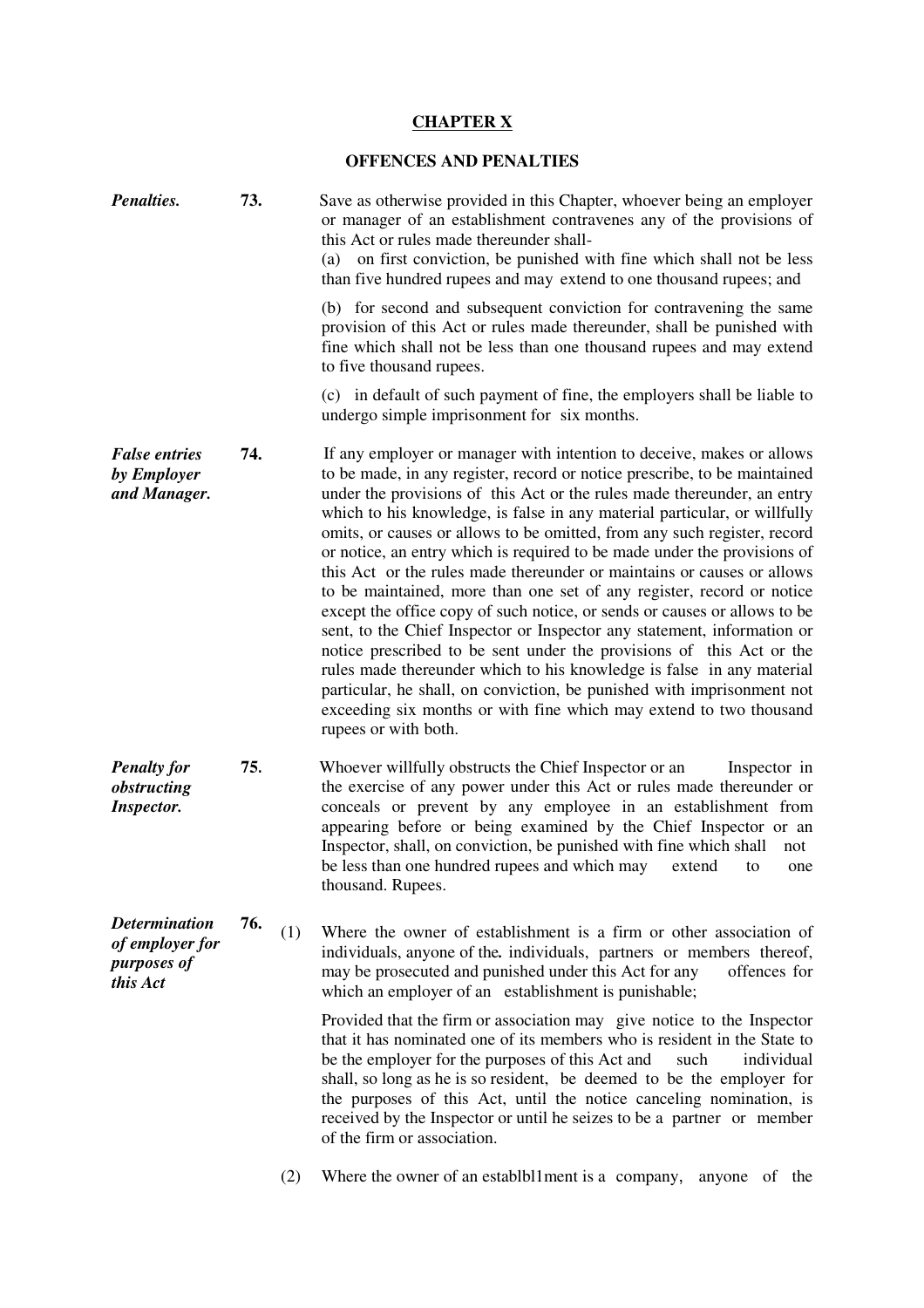# **CHAPTER X**

## **OFFENCES AND PENALTIES**

| Penalties.                                                         | 73. |     | Save as otherwise provided in this Chapter, whoever being an employer<br>or manager of an establishment contravenes any of the provisions of<br>this Act or rules made thereunder shall-<br>(a) on first conviction, be punished with fine which shall not be less<br>than five hundred rupees and may extend to one thousand rupees; and                                                                                                                                                                                                                                                                                                                                                                                                                                                                                                                                                                                                                                                                                                                                                              |
|--------------------------------------------------------------------|-----|-----|--------------------------------------------------------------------------------------------------------------------------------------------------------------------------------------------------------------------------------------------------------------------------------------------------------------------------------------------------------------------------------------------------------------------------------------------------------------------------------------------------------------------------------------------------------------------------------------------------------------------------------------------------------------------------------------------------------------------------------------------------------------------------------------------------------------------------------------------------------------------------------------------------------------------------------------------------------------------------------------------------------------------------------------------------------------------------------------------------------|
|                                                                    |     |     | (b) for second and subsequent conviction for contravening the same<br>provision of this Act or rules made thereunder, shall be punished with<br>fine which shall not be less than one thousand rupees and may extend<br>to five thousand rupees.                                                                                                                                                                                                                                                                                                                                                                                                                                                                                                                                                                                                                                                                                                                                                                                                                                                       |
|                                                                    |     |     | (c) in default of such payment of fine, the employers shall be liable to<br>undergo simple imprisonment for six months.                                                                                                                                                                                                                                                                                                                                                                                                                                                                                                                                                                                                                                                                                                                                                                                                                                                                                                                                                                                |
| <b>False entries</b><br>by Employer<br>and Manager.                | 74. |     | If any employer or manager with intention to deceive, makes or allows<br>to be made, in any register, record or notice prescribe, to be maintained<br>under the provisions of this Act or the rules made thereunder, an entry<br>which to his knowledge, is false in any material particular, or willfully<br>omits, or causes or allows to be omitted, from any such register, record<br>or notice, an entry which is required to be made under the provisions of<br>this Act or the rules made thereunder or maintains or causes or allows<br>to be maintained, more than one set of any register, record or notice<br>except the office copy of such notice, or sends or causes or allows to be<br>sent, to the Chief Inspector or Inspector any statement, information or<br>notice prescribed to be sent under the provisions of this Act or the<br>rules made thereunder which to his knowledge is false in any material<br>particular, he shall, on conviction, be punished with imprisonment not<br>exceeding six months or with fine which may extend to two thousand<br>rupees or with both. |
| <b>Penalty for</b><br>obstructing<br><b>Inspector.</b>             | 75. |     | Whoever willfully obstructs the Chief Inspector or an<br>Inspector in<br>the exercise of any power under this Act or rules made thereunder or<br>conceals or prevent by any employee in an establishment from<br>appearing before or being examined by the Chief Inspector or an<br>Inspector, shall, on conviction, be punished with fine which shall<br>not<br>be less than one hundred rupees and which may<br>extend<br>to<br>one<br>thousand. Rupees.                                                                                                                                                                                                                                                                                                                                                                                                                                                                                                                                                                                                                                             |
| <b>Determination</b><br>of employer for<br>purposes of<br>this Act | 76. | (1) | Where the owner of establishment is a firm or other association of<br>individuals, anyone of the individuals, partners or members thereof,<br>may be prosecuted and punished under this Act for any<br>offences for<br>which an employer of an establishment is punishable;                                                                                                                                                                                                                                                                                                                                                                                                                                                                                                                                                                                                                                                                                                                                                                                                                            |
|                                                                    |     |     | Provided that the firm or association may give notice to the Inspector<br>that it has nominated one of its members who is resident in the State to<br>be the employer for the purposes of this Act and<br>individual<br>such<br>shall, so long as he is so resident, be deemed to be the employer for<br>the purposes of this Act, until the notice canceling nomination, is<br>received by the Inspector or until he seizes to be a partner or member<br>of the firm or association.                                                                                                                                                                                                                                                                                                                                                                                                                                                                                                                                                                                                                  |
|                                                                    |     | (2) | Where the owner of an establbl1ment is a company,<br>of the<br>anyone                                                                                                                                                                                                                                                                                                                                                                                                                                                                                                                                                                                                                                                                                                                                                                                                                                                                                                                                                                                                                                  |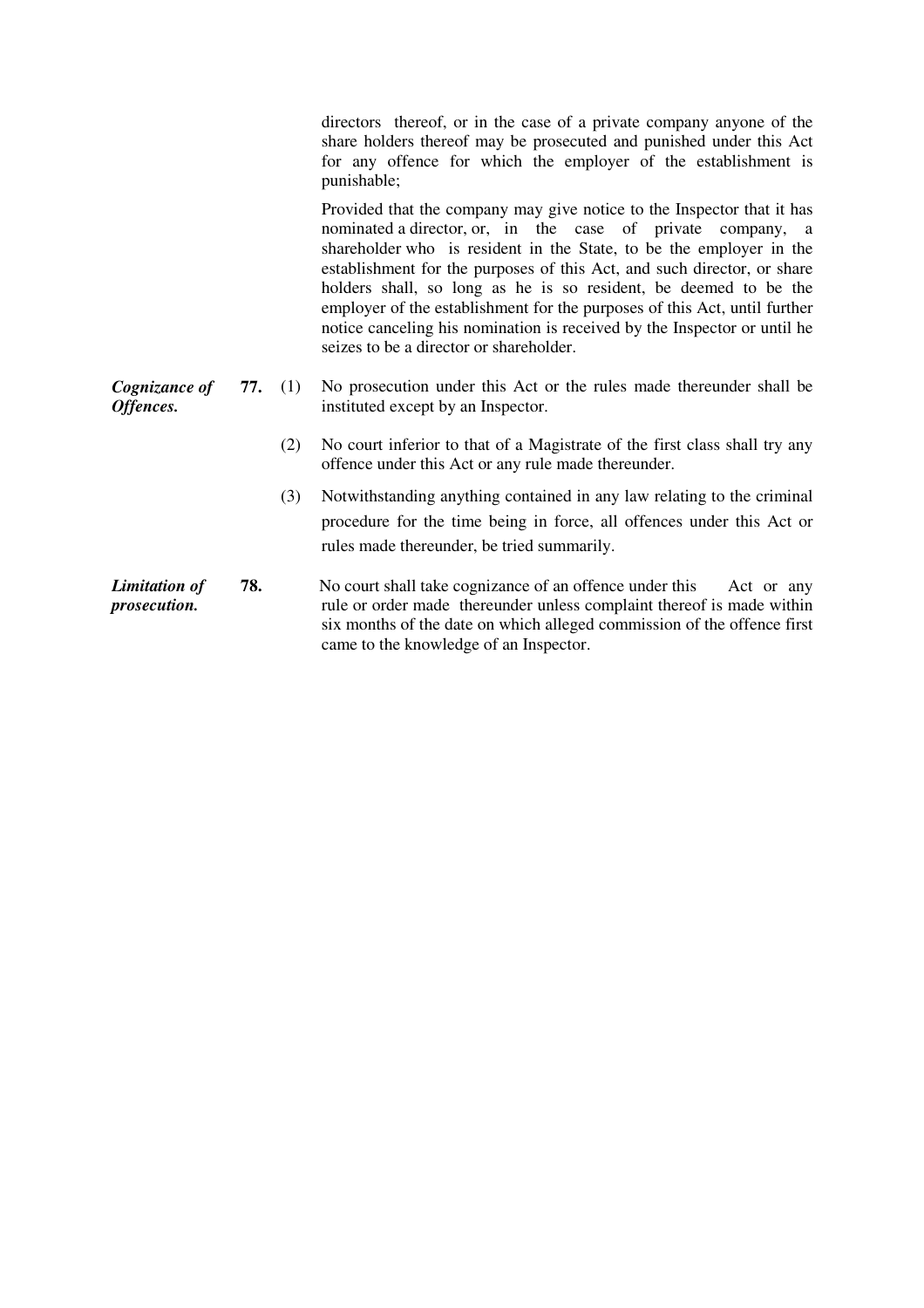directors thereof, or in the case of a private company anyone of the share holders thereof may be prosecuted and punished under this Act for any offence for which the employer of the establishment is punishable;

 Provided that the company may give notice to the Inspector that it has nominated a director, or, in the case of private company, a shareholder who is resident in the State, to be the employer in the establishment for the purposes of this Act, and such director, or share holders shall, so long as he is so resident, be deemed to be the employer of the establishment for the purposes of this Act, until further notice canceling his nomination is received by the Inspector or until he seizes to be a director or shareholder.

- *Cognizance of Offences.* **77.** (1) No prosecution under this Act or the rules made thereunder shall be instituted except by an Inspector.
	- (2) No court inferior to that of a Magistrate of the first class shall try any offence under this Act or any rule made thereunder.
	- (3) Notwithstanding anything contained in any law relating to the criminal procedure for the time being in force, all offences under this Act or rules made thereunder, be tried summarily.
- *Limitation of prosecution.* **78.** No court shall take cognizance of an offence under this Act or any rule or order made thereunder unless complaint thereof is made within six months of the date on which alleged commission of the offence first came to the knowledge of an Inspector.